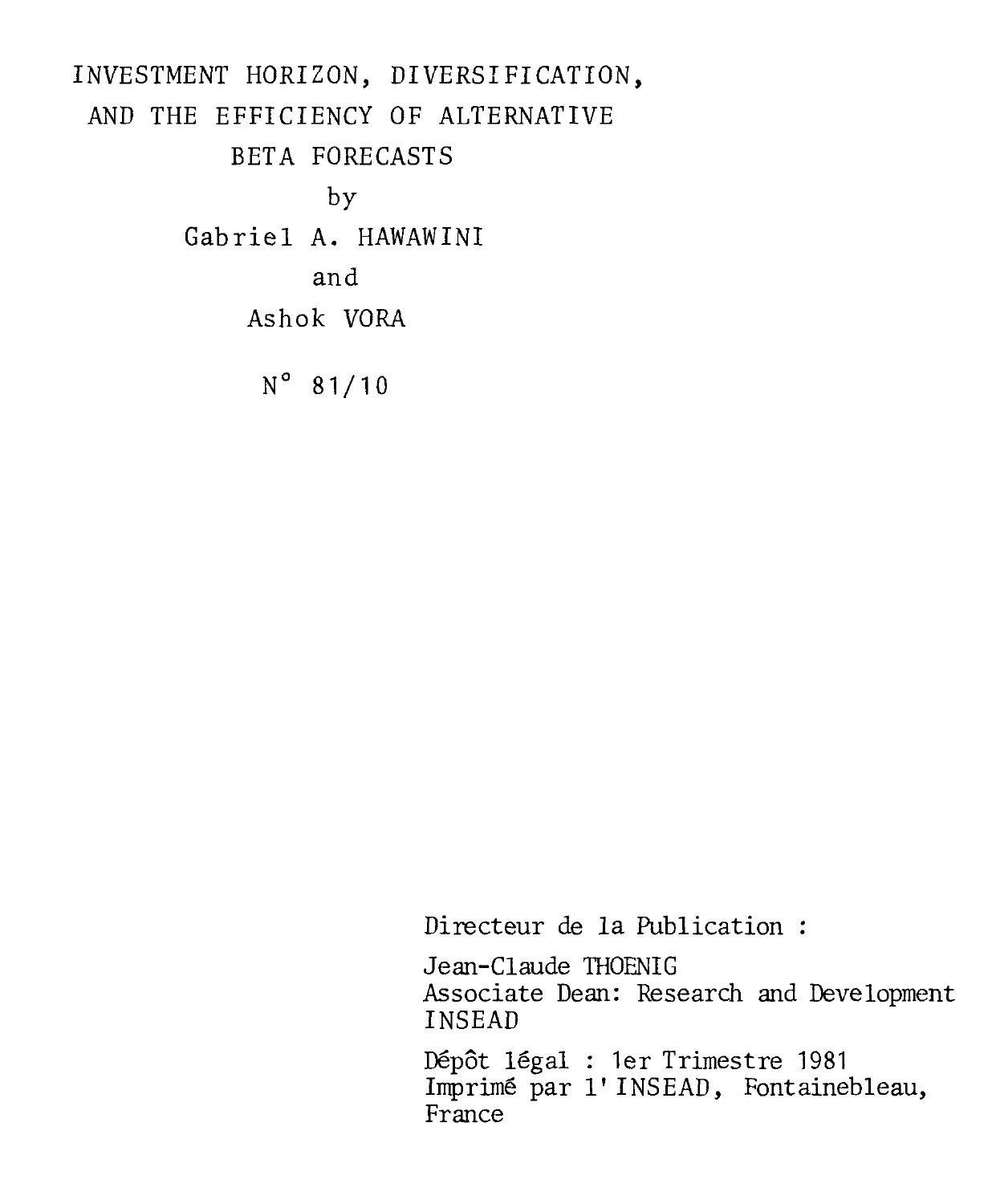# INVESTMENT HORIZON, DIVERSIFICATION, AND THE EFFICIENCY OF ALTERNATIVE BETA FORECASTS by Gabriel A. HAWAWINI and Ashok VORA  $N^{\circ}$  81/10

Directeur de la Publication :

Jean-Claude THOENIG Associate Dean: Research and Development INSEAD

Dépôt légal : 1er Trimestre 1981 Imprimé par l' INSEAD, Fontainebleau, France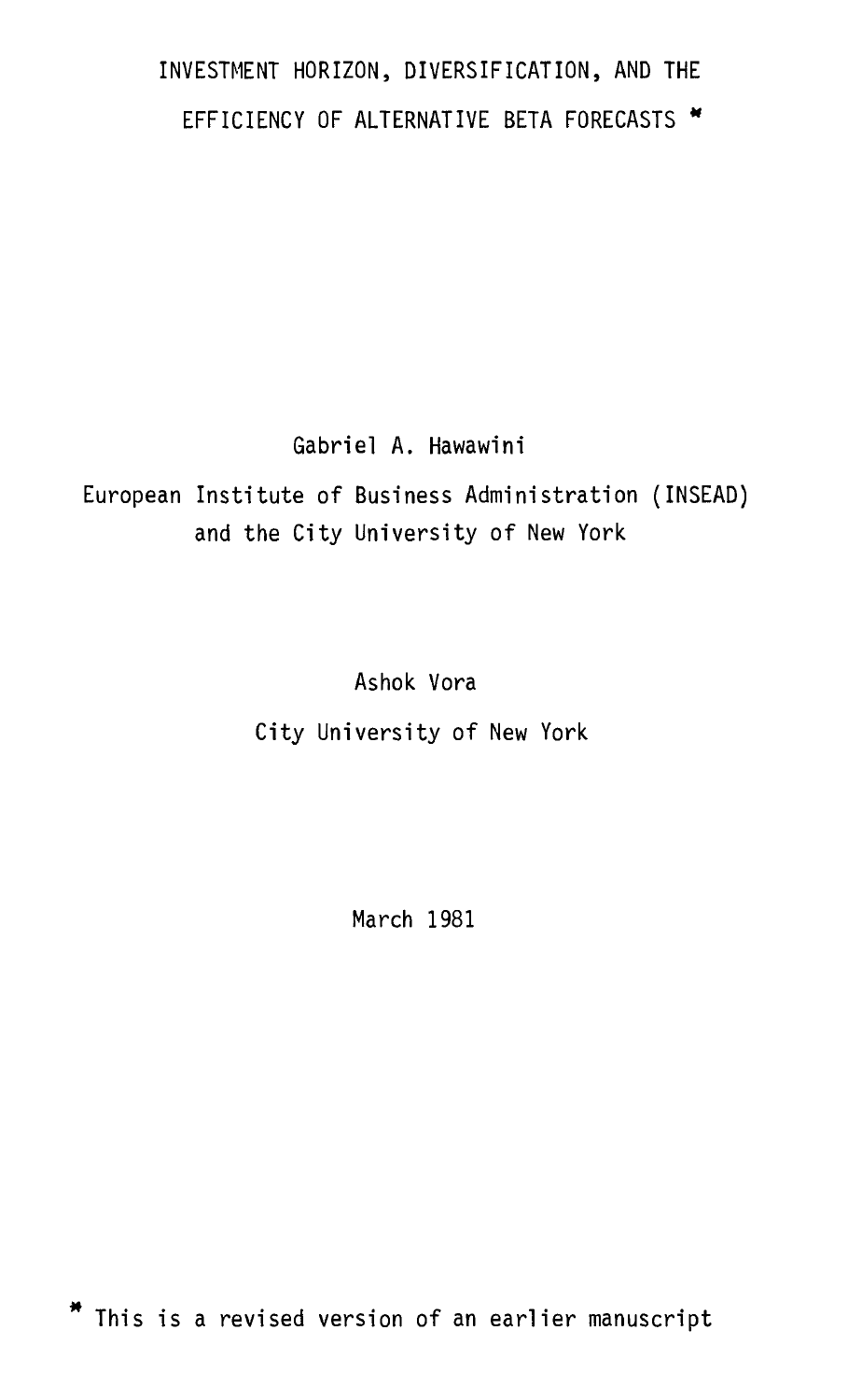## INVESTMENT HORIZON, DIVERSIFICATION, AND THE EFFICIENCY OF ALTERNATIVE BETA FORECASTS \*

Gabriel A. Hawawini

European Institute of Business Administration (INSEAD) and the City University of New York

Ashok Vora

City University of New York

March 1981

\* This is a revised version of an earlier manuscript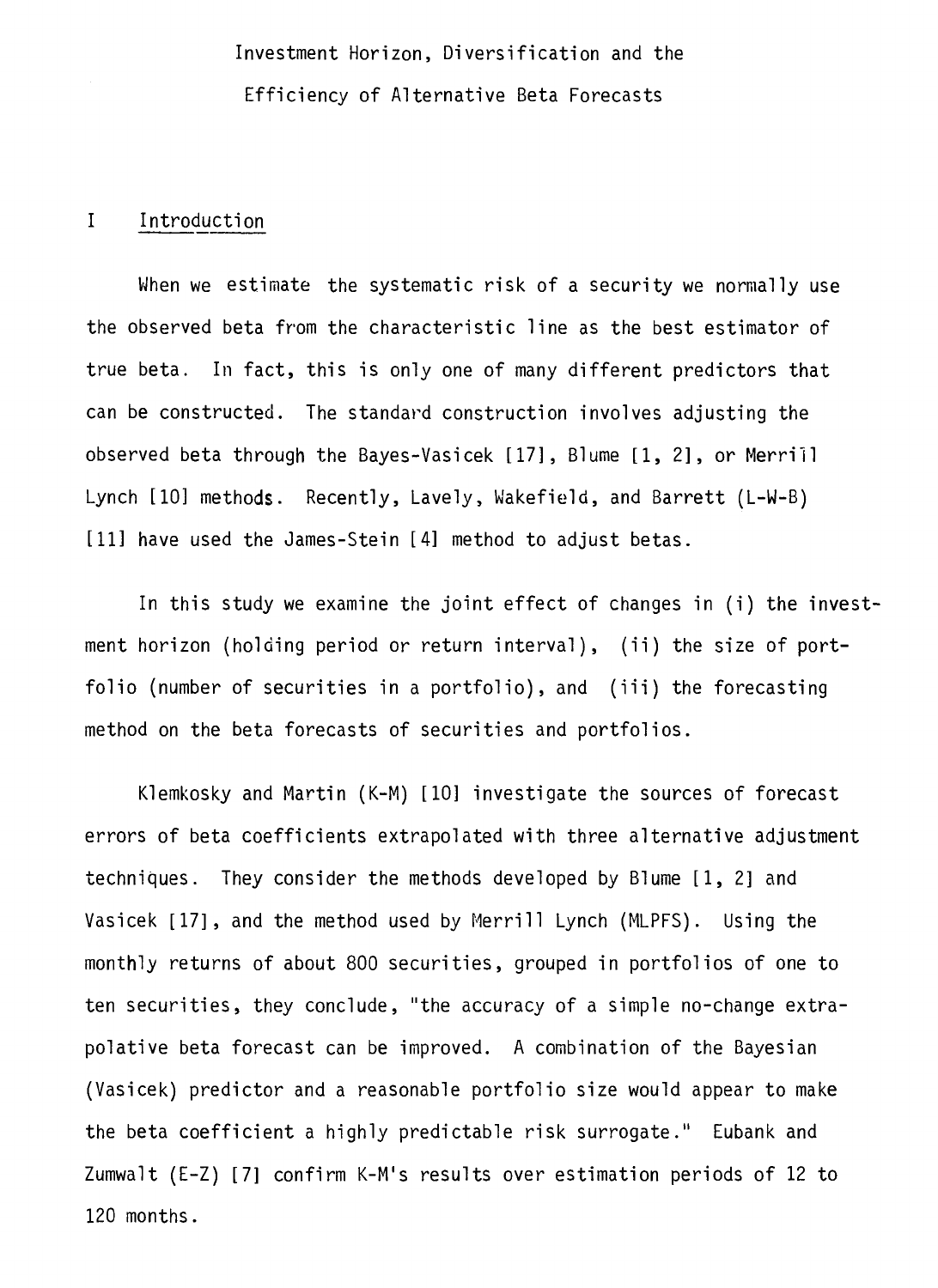Investment Horizon, Diversification and the Efficiency of Alternative Beta Forecasts

#### I Introduction

When we estimate the systematic risk of a security we normally use the observed beta from the characteristic line as the best estimator of true beta. In fact, this is only one of many different predictors that can be constructed. The standard construction involves adjusting the observed beta through the Bayes-Vasicek [17], Blume [1, 2], or Merrill Lynch [10] methods. Recently, Lavely, Wakefield, and Barrett (L-W-B) [11] have used the James-Stein [4] method to adjust betas.

In this study we examine the joint effect of changes in (i) the investment horizon (holding period or return interval), (ii) the size of portfolio (number of securities in a portfolio), and (iii) the forecasting method on the beta forecasts of securities and portfolios.

Klemkosky and Martin (K-M) [10] investigate the sources of forecast errors of beta coefficients extrapolated with three alternative adjustment techniques. They consider the methods developed by Blume [1, 2] and Vasicek [17], and the method used by Merrill Lynch (MLPFS). Using the monthly returns of about 800 securities, grouped in portfolios of one to ten securities, they conclude, "the accuracy of a simple no-change extrapolative beta forecast can be improved. A combination of the Bayesian (Vasicek) predictor and a reasonable portfolio size would appear to make the beta coefficient a highly predictable risk surrogate." Eubank and Zumwalt (E-Z) [7] confirm K-M's results over estimation periods of 12 to 120 months.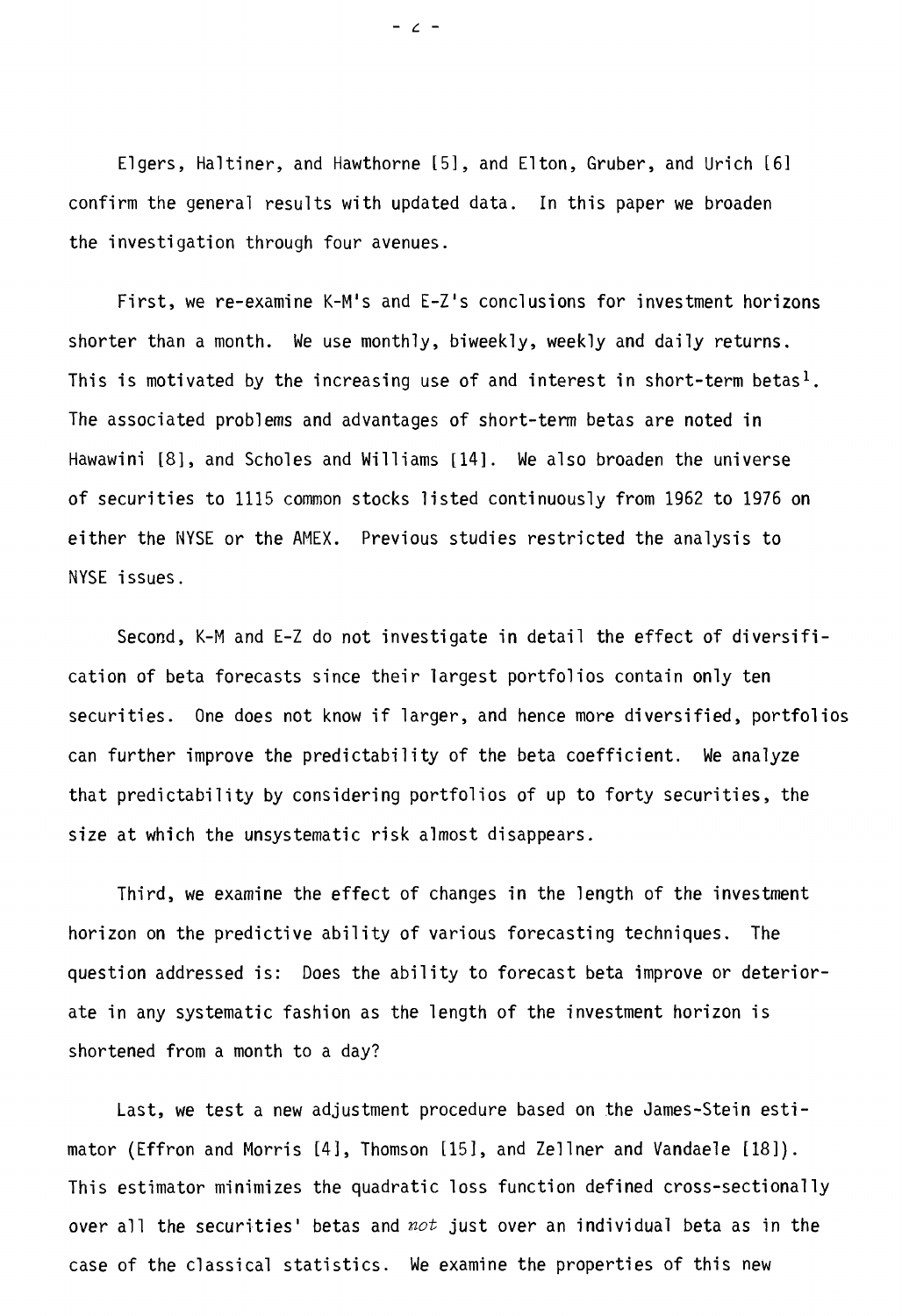Elgers, Haltiner, and Hawthorne [51, and Elton, Gruber, and Urich [6] confirm the general results with updated data. In this paper we broaden the investigation through four avenues.

First, we re-examine K-M's and E-Z's conclusions for investment horizons shorter than a month. We use monthly, biweekly, weekly and daily returns. This is motivated by the increasing use of and interest in short-term betas<sup>1</sup>. The associated problems and advantages of short-term betas are noted in Hawawini [8], and Scholes and Williams [14]. We also broaden the universe of securities to 1115 common stocks listed continuously from 1962 to 1976 on either the NYSE or the AMEX. Previous studies restricted the analysis to NYSE issues.

Second, K-M and E-Z do not investigate in detail the effect of diversification of beta forecasts since their largest portfolios contain only ten securities. One does not know if larger, and hence more diversified, portfolios can further improve the predictability of the beta coefficient. We analyze that predictability by considering portfolios of up to forty securities, the size at which the unsystematic risk almost disappears.

Third, we examine the effect of changes in the length of the investment horizon on the predictive ability of various forecasting techniques. The question addressed is: Does the ability to forecast beta improve or deteriorate in any systematic fashion as the length of the investment horizon is shortened from a month to a day?

Last, we test a new adjustment procedure based on the James-Stein estimator (Effron and Morris [4], Thomson [15], and Zellner and Vandaele [181). This estimator minimizes the quadratic loss function defined cross-sectionally over all the securities' betas and  $not$  just over an individual beta as in the case of the classical statistics. We examine the properties of this new

 $\angle$  -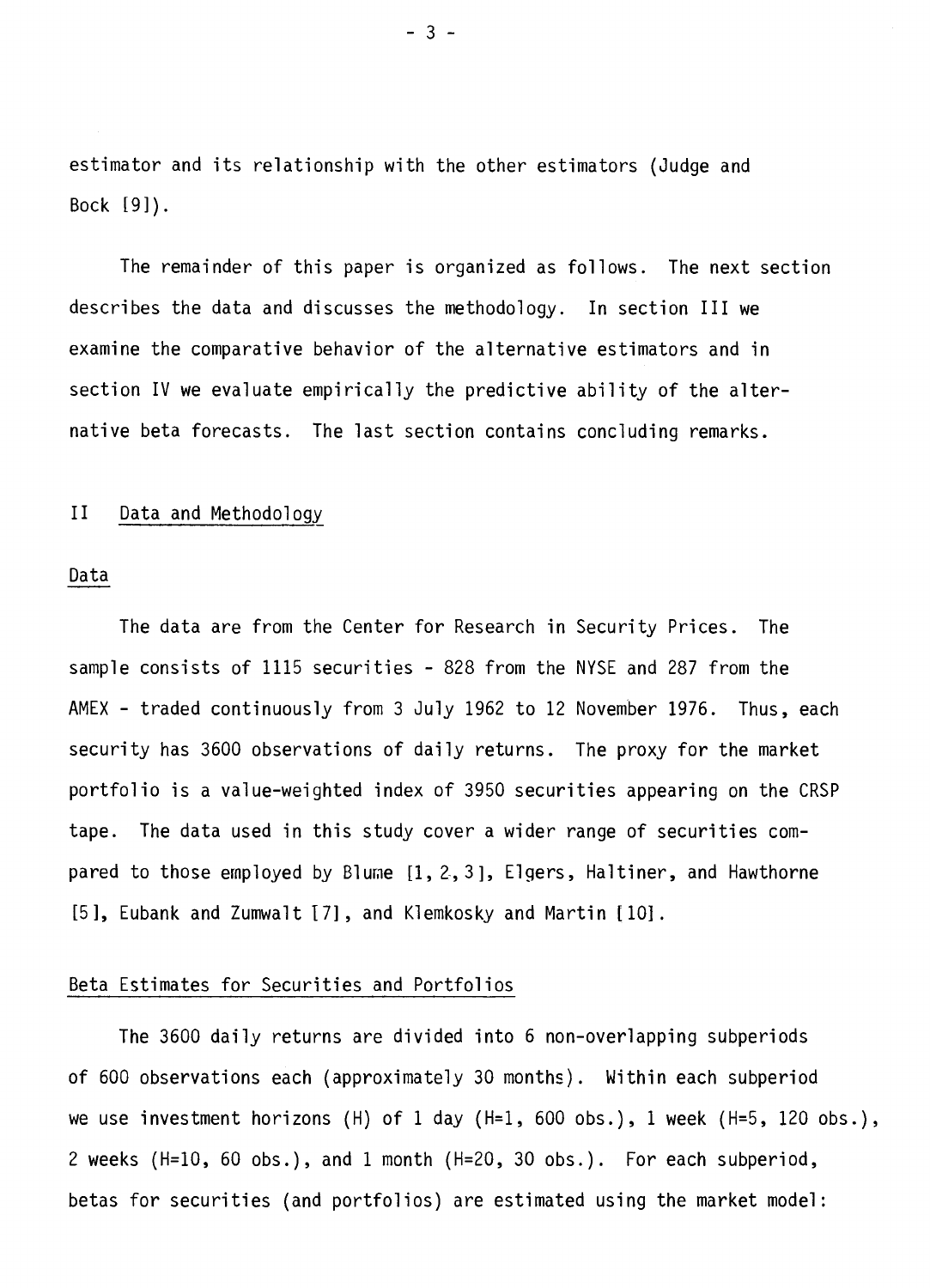estimator and its relationship with the other estimators (Judge and Bock [9]).

The remainder of this paper is organized as follows. The next section describes the data and discusses the methodology. In section III we examine the comparative behavior of the alternative estimators and in section IV we evaluate empirically the predictive ability of the alternative beta forecasts. The last section contains concluding remarks.

#### II Data and Methodology

#### Data

The data are from the Center for Research in Security Prices. The sample consists of 1115 securities - 828 from the NYSE and 287 from the AMEX - traded continuously from 3 July 1962 to 12 November 1976. Thus, each security has 3600 observations of daily returns. The proxy for the market portfolio is a value-weighted index of 3950 securities appearing on the CRSP tape. The data used in this study cover a wider range of securities compared to those employed by Blume [1, 2, 3], Elgers, Haltiner, and Hawthorne [5], Eubank and Zumwalt [7], and Klemkosky and Martin [10].

#### Beta Estimates for Securities and Portfolios

The 3600 daily returns are divided into 6 non-overlapping subperiods of 600 observations each (approximately 30 months). Within each subperiod we use investment horizons (H) of 1 day (H=1, 600 obs.), 1 week (H=5, 120 obs.), 2 weeks (H=10, 60 obs.), and 1 month (H=20, 30 obs.). For each subperiod, betas for securities (and portfolios) are estimated using the market model: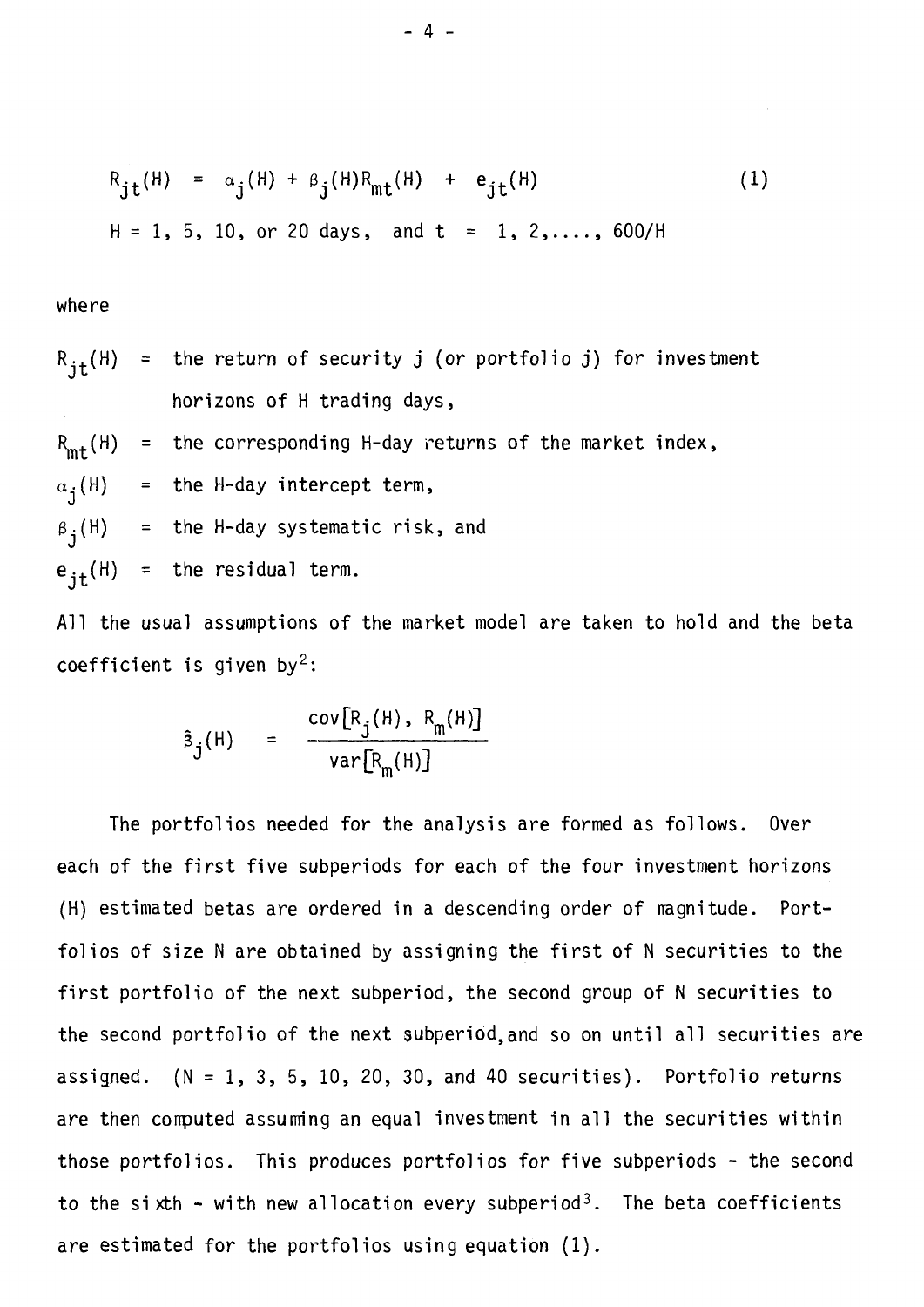$$
R_{jt}(H) = \alpha_j(H) + \beta_j(H)R_{mt}(H) + e_{jt}(H)
$$
\n
$$
H = 1, 5, 10, or 20 days, and t = 1, 2, ..., 600/H
$$
\n(1)

where

$$
R_{jt}(H) =
$$
 the return of security j (or portfolio j) for investment  
horizons of H trading days,  

$$
R_{mt}(H) =
$$
 the corresponding H-day returns of the market index,  

$$
\alpha_j(H) =
$$
 the H-day intercept term,  

$$
\beta_j(H) =
$$
 the H-day systematic risk, and  

$$
e_{jt}(H) =
$$
 the residual term.

Ail the usual assumptions of the market model are taken to hold and the beta coefficient is given by<sup>2</sup>:

$$
\hat{B}_{j}(H) = \frac{\text{cov}[R_{j}(H), R_{m}(H)]}{\text{var}[R_{m}(H)]}
$$

The portfolios needed for the analysis are formed as follows. Over each of the first five subperiods for each of the four investment horizons (H) estimated betas are ordered in a descending order of magnitude. Portfolios of size N are obtained by assigning the first of N securities to the first portfolio of the next subperiod, the second group of N securities to the second portfolio of the next subperiod,and so on until all securities are assigned.  $(N = 1, 3, 5, 10, 20, 30,$  and 40 securities). Portfolio returns are then conputed assurming an equal investment in all the securities within those portfolios. This produces portfolios for five subperiods - the second to the sixth - with new allocation every subperiod<sup>3</sup>. The beta coefficients are estimated for the portfolios using equation (1).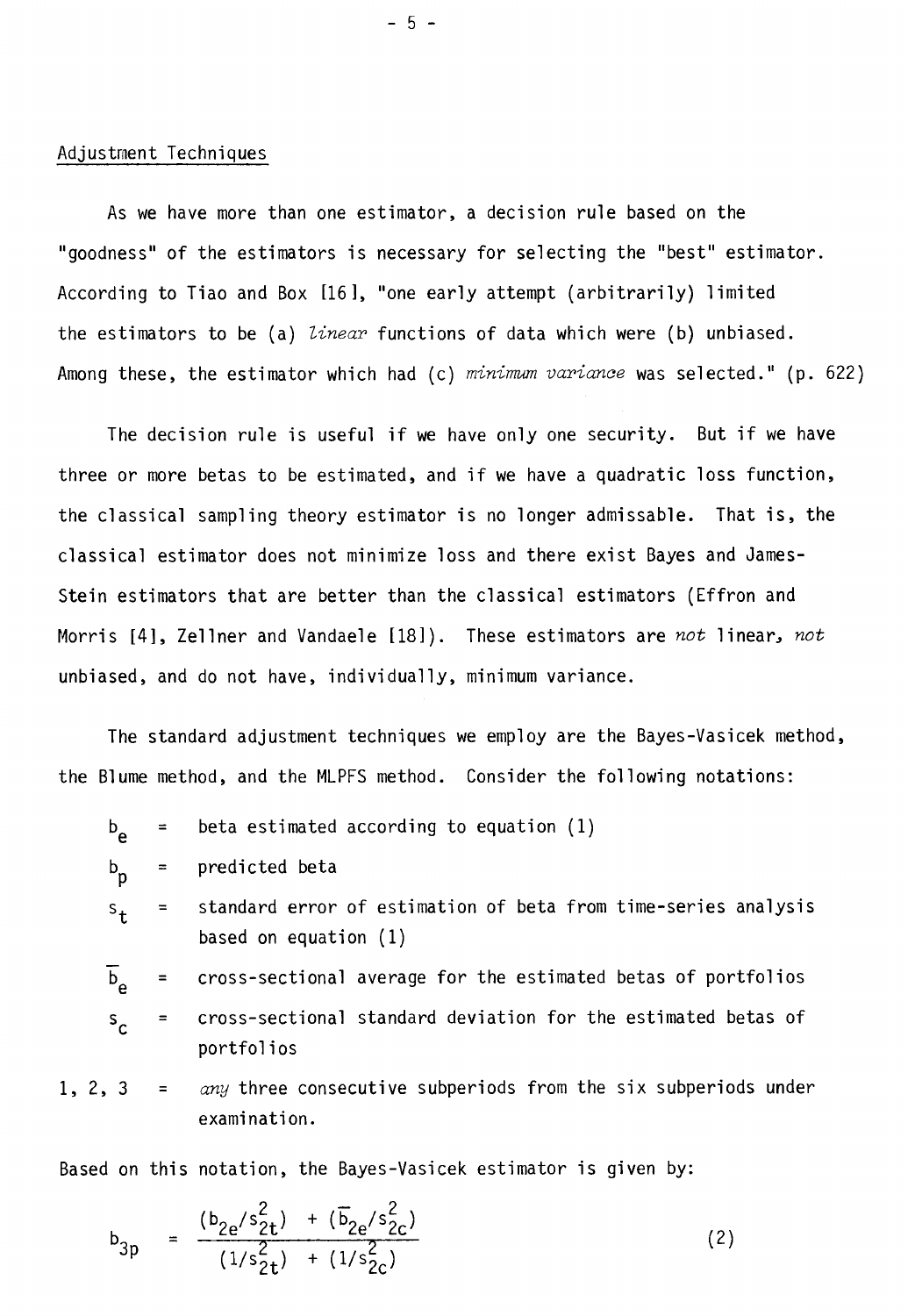### Adjustrnent Techniques

As we have more than one estimator, a decision rule based on the "goodness" of the estimators is necessary for selecting the "best" estimator. According to Tiao and Box [161, "one early attempt (arbitrarily) limited the estimators to be (a) linear functions of data which were (b) unbiased. Among these, the estimator which had (c) minimum variance was selected." (p. 622)

The decision rule is useful if we have only one security. But if we have three or more betas to be estimated, and if we have a quadratic loss function, the classical sampling theory estimator is no longer admissable. That is, the classical estimator does not minimize loss and there exist Bayes and James-Stein estimators that are better than the classical estimators (Effron and Morris [4], Zellner and Vandaele [18]). These estimators are  $not$  linear,  $not$ unbiased, and do not have, individually, minimum variance.

The standard adjustment techniques we employ are the Bayes-Vasicek method, the Blume method, and the MLPFS method. Consider the following notations:

$$
b_{e} = \text{beta estimated according to equation (1)}
$$

$$
b_p = predicted beta
$$

standard error of estimation of beta from time-series analysis s t  $\equiv$ based on equation (1)

cross-sectional average for the estimated betas of portfolios  $b_{\alpha}$ 

$$
s_c
$$
 = cross-sectional standard deviation for the estimated betas of portfolios

1, 2, 3 =  $any$  three consecutive subperiods from the six subperiods under examination.

Based on this notation, the Bayes-Vasicek estimator is given by:

$$
b_{3p} = \frac{(b_{2e}/s_{2t}^{2}) + (\overline{b}_{2e}/s_{2c}^{2})}{(1/s_{2t}^{2}) + (1/s_{2c}^{2})}
$$
 (2)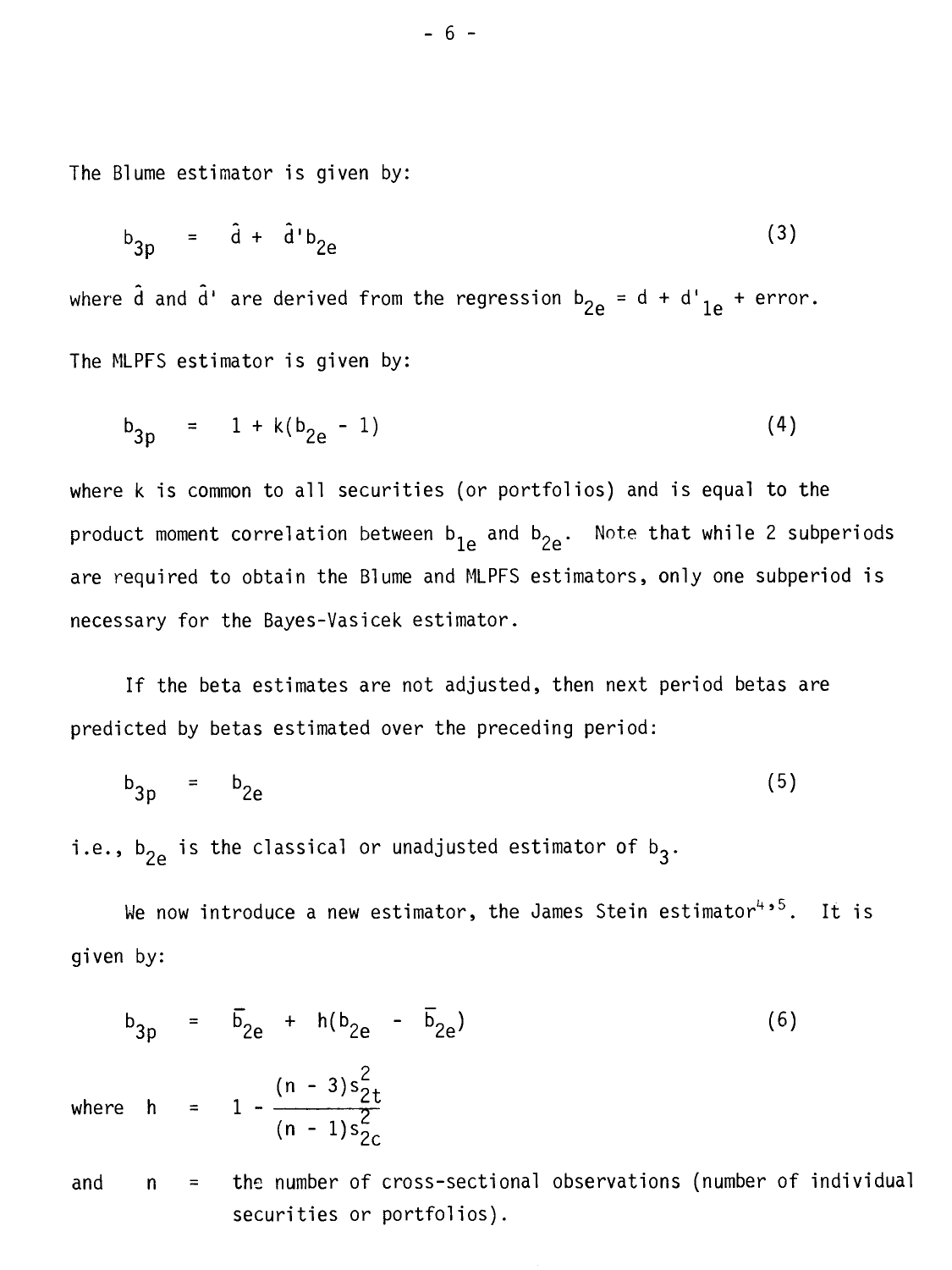The Blume estimator is given by:

$$
b_{3p} = \hat{d} + \hat{d}^{\dagger} b_{2e}
$$
 (3)

where  $\hat{d}$  and  $\hat{d}$ ' are derived from the regression  $b_{2e} = d + d'_{1e} + error$ . The MLPFS estimator is given by:

$$
b_{3p} = 1 + k(b_{2e} - 1) \tag{4}
$$

where k is common to all securities (or portfolios) and is equal to the product moment correlation between  $b_{1e}$  and  $b_{2e}$ . Note that while 2 subperiods are required to obtain the Blume and MLPFS estimators, only one subperiod is necessary for the Bayes-Vasicek estimator.

If the beta estimates are not adjusted, then next period betas are predicted by betas estimated over the preceding period:

$$
b_{3p} = b_{2e} \tag{5}
$$

i.e.,  $b_{2e}$  is the classical or unadjusted estimator of  $b_3$ .

securities or portfolios).

whe

We now introduce a new estimator, the James Stein estimator<sup>4,5</sup>. It is given by:

$$
b_{3p} = \overline{b}_{2e} + h(b_{2e} - \overline{b}_{2e})
$$
\n(6)

\nwhere  $h = 1 - \frac{(n-3)s_{2t}^2}{(n-1)s_{2c}^2}$ 

\nand  $n =$  the number of cross-sectional observations (number of individual)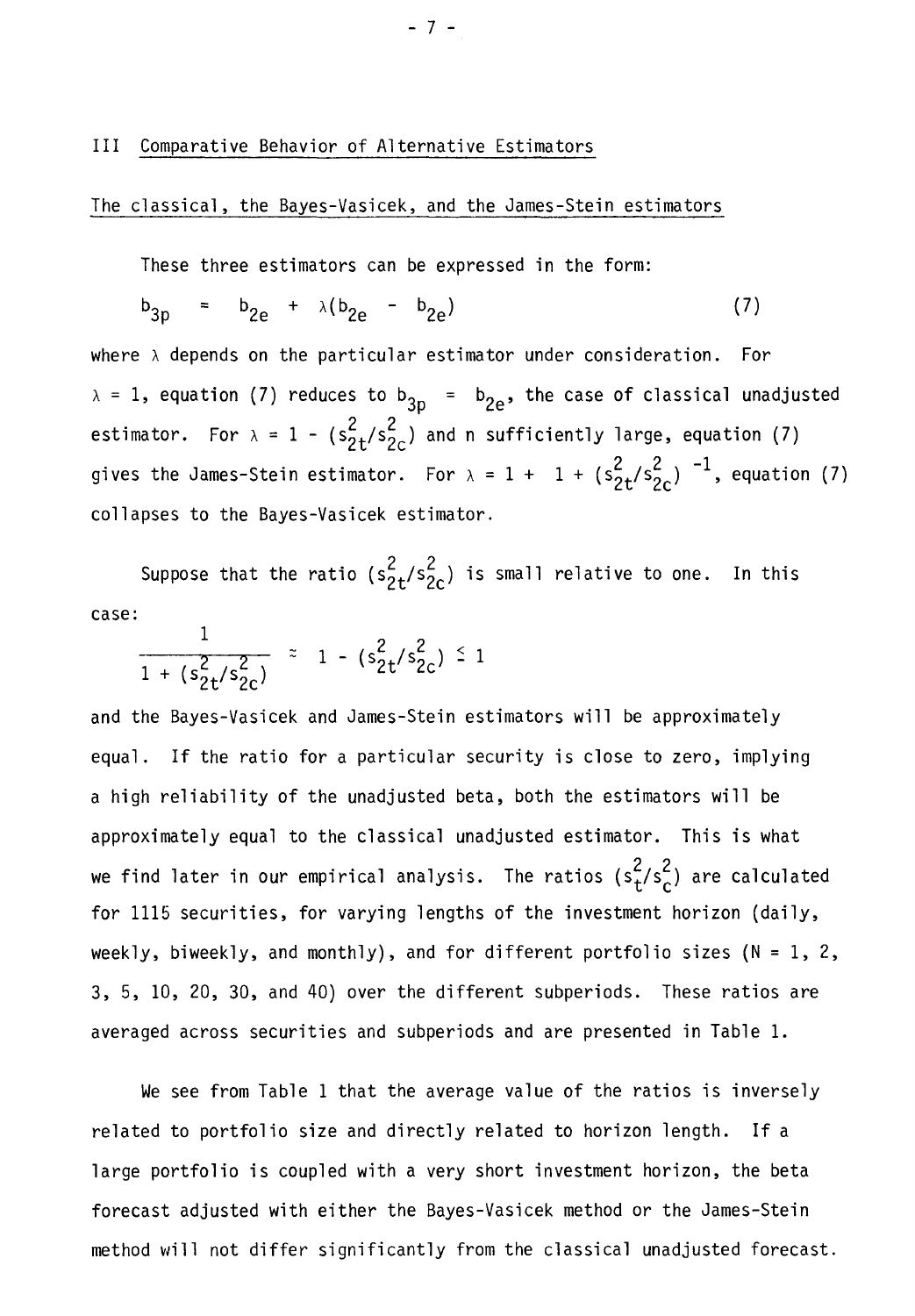#### III Comparative Behavior of Alternative Estimators

#### The classical, the Bayes-Vasicek, and the James-Stein estimators

These three estimators can be expressed in the form:

$$
b_{3p} = b_{2e} + \lambda (b_{2e} - b_{2e})
$$
 (7)

where  $\lambda$  depends on the particular estimator under consideration. For  $\lambda = 1$ , equation (7) reduces to  $b_{3p} = b_{2e}$ , the case of classical unadjusted estimator. For  $\lambda = 1 - (s_{2t}^2 / s_{2c}^2)$  and n sufficiently large, equation (7) gives the James-Stein estimator. For  $\lambda = 1 + 1 + (s_{2t}^2/s_{2c}^2)^{-1}$ , equation (7) collapses to the Bayes-Vasicek estimator.

Suppose that the ratio ( $s_{2+}^{2}/s_{2c}^{2}$ ) is small relative to one. In this case:

$$
\frac{1}{1 + (s_{2t}^2 / s_{2c}^2)} \approx 1 - (s_{2t}^2 / s_{2c}^2) \le 1
$$

and the Bayes-Vasicek and James-Stein estimators will be approximately equal. If the ratio for a particular security is close to zero, implying a high reliability of the unadjusted beta, both the estimators will be approximately equal to the classical unadjusted estimator. This is what we find later in our empirical analysis. The ratios (s $^{2}_{+}/s^{2}_{0}$ ) are calculated for 1115 securities, for varying lengths of the investment horizon (daily, weekly, biweekly, and monthly), and for different portfolio sizes ( $N = 1, 2,$ 3, 5, 10, 20, 30, and 40) over the different subperiods. These ratios are averaged across securities and subperiods and are presented in Table 1.

We see from Table 1 that the average value of the ratios is inversely related to portfolio size and directly related to horizon length. If a large portfolio is coupled with a very short investment horizon, the beta forecast adjusted with either the Bayes-Vasicek method or the James-Stein method will not differ significantly from the classical unadjusted forecast.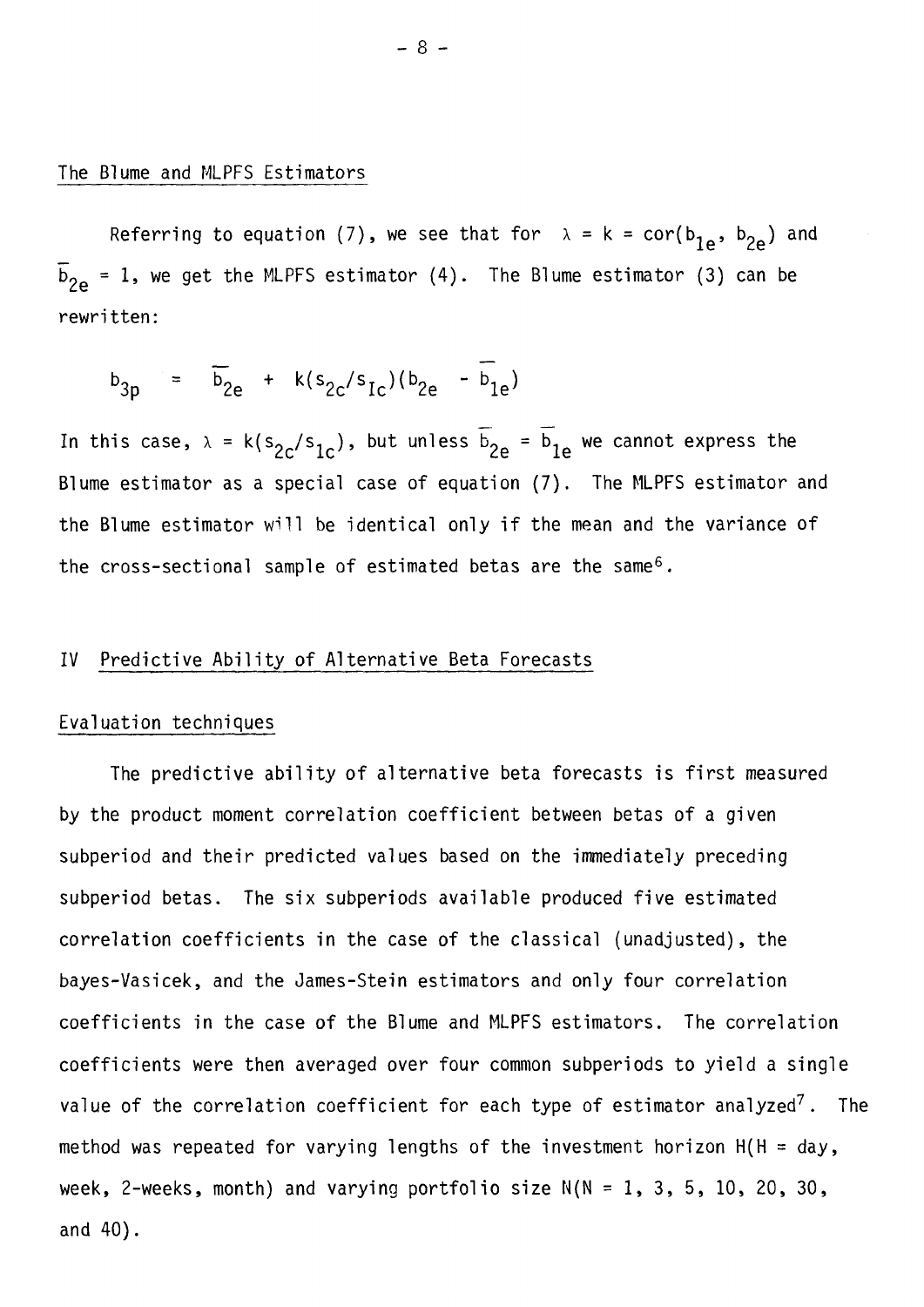#### The Blume and MLPFS Estimators

Referring to equation (7), we see that for  $\lambda = k = cor(b_{1e}^b, b_{2e}^b)$  and  $b^{\,}_{\mathrm{2e}}$  = 1, we get the MLPFS estimator (4). The Blume estimator (3) can be rewritten:

$$
b_{3p} = \overline{b}_{2e} + k(s_{2c}/s_{1c})(b_{2e} - \overline{b}_{1e})
$$

In this case,  $\lambda = k(s_{2c}/s_{1c})$ , but unless  $\overline{b}_{2e} = \overline{b}_{1e}$  we cannot express the Blume estimator as a special case of equation (7). The MLPFS estimator and the Blume estimator will be identical only if the mean and the variance of the cross-sectional sample of estimated betas are the same<sup>6</sup>.

### IV Predictive Ability of Alternative Beta Forecasts

#### Evaluation techniques

The predictive ability of alternative beta forecasts is first measured by the product moment correlation coefficient between betas of a given subperiod and their predicted values based on the immediately preceding subperiod betas. The six subperiods available produced five estimated correlation coefficients in the case of the classical (unadjusted), the bayes-Vasicek, and the James-Stein estimators and only four correlation coefficients in the case of the Blume and MLPFS estimators. The correlation coefficients were then averaged over four common subperiods to yield a single value of the correlation coefficient for each type of estimator analyzed<sup>7</sup>. The method was repeated for varying lengths of the investment horizon  $H(H = day,$ week, 2-weeks, month) and varying portfolio size  $N(N = 1, 3, 5, 10, 20, 30,$ and 40).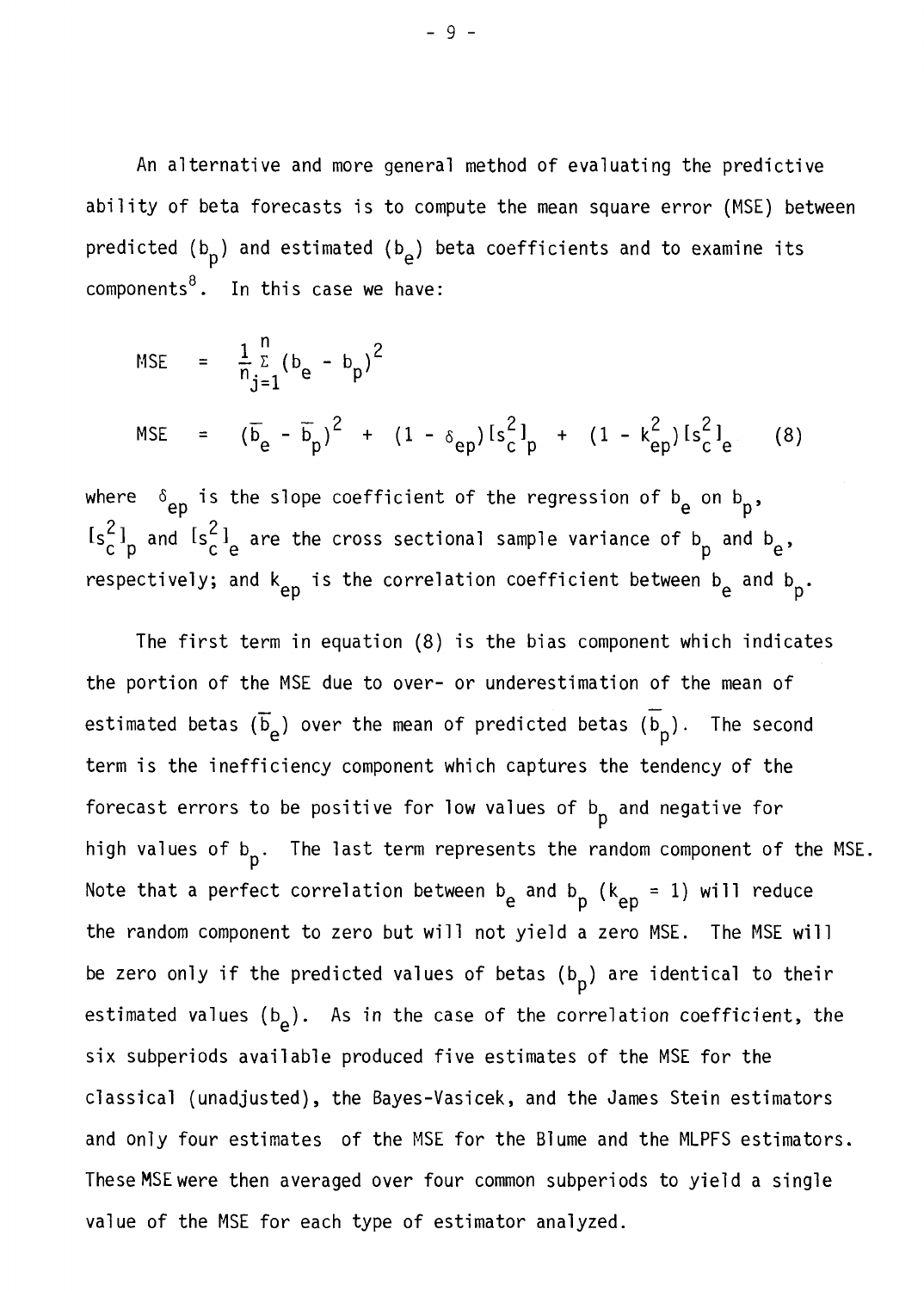An alternative and more general method of evaluating the predictive ability of beta forecasts is to compute the mean square error (MSE) between predicted (b<sub>p</sub>) and estimated (b<sub>e</sub>) beta coefficients and to examine its components $8$ . In this case we have:

MSE = 
$$
\frac{1}{n} \sum_{j=1}^{n} (b_e - b_p)^2
$$
  
\nMSE =  $(\overline{b}_e - \overline{b}_p)^2 + (1 - \delta_{ep}) [s_c^2]_p + (1 - k_{ep}^2) [s_c^2]_e$  (8)

where  $\delta_{\text{ep}}$  is the slope coefficient of the regression of  $\mathbf{b}_{\text{e}}$  on  $\mathbf{b}_{\text{p}}$ ,  $[s_c^2]_p$  and  $[s_c^2]_e$  are the cross sectional sample variance of b P and  $b_e$ , respectively; and k<sub>ep</sub> is the correlation coefficient between b<sub>e</sub> and b<sub>p</sub>. P

The first term in equation (8) is the bias component which indicates the portion of the MSE due to over- or underestimation of the mean of estimated betas ( $\overline{b}_e$ ) over the mean of predicted betas ( $\overline{b}_p$ ). The second term is the inefficiency component which captures the tendency of the forecast errors to be positive for low values of  $b_p$  and negative for high values of  $b_p$ . The last term represents the random component of the MSE. Note that a perfect correlation between b<sub>e</sub> and b<sub>p</sub> (k<sub>ep</sub> = 1) will reduce the random component to zero but will not yield a zero MSE. The MSE will be zero only if the predicted values of betas  $(b_p)$  are identical to their estimated values (b<sub>e</sub>). As in the case of the correlation coefficient, the six subperiods available produced five estimates of the MSE for the classical (unadjusted), the Bayes-Vasicek, and the James Stein estimators and only four estimates of the MSE for the Blume and the MLPFS estimators. TheseMSEwere then averaged over four common subperiods to yield a single value of the MSE for each type of estimator analyzed.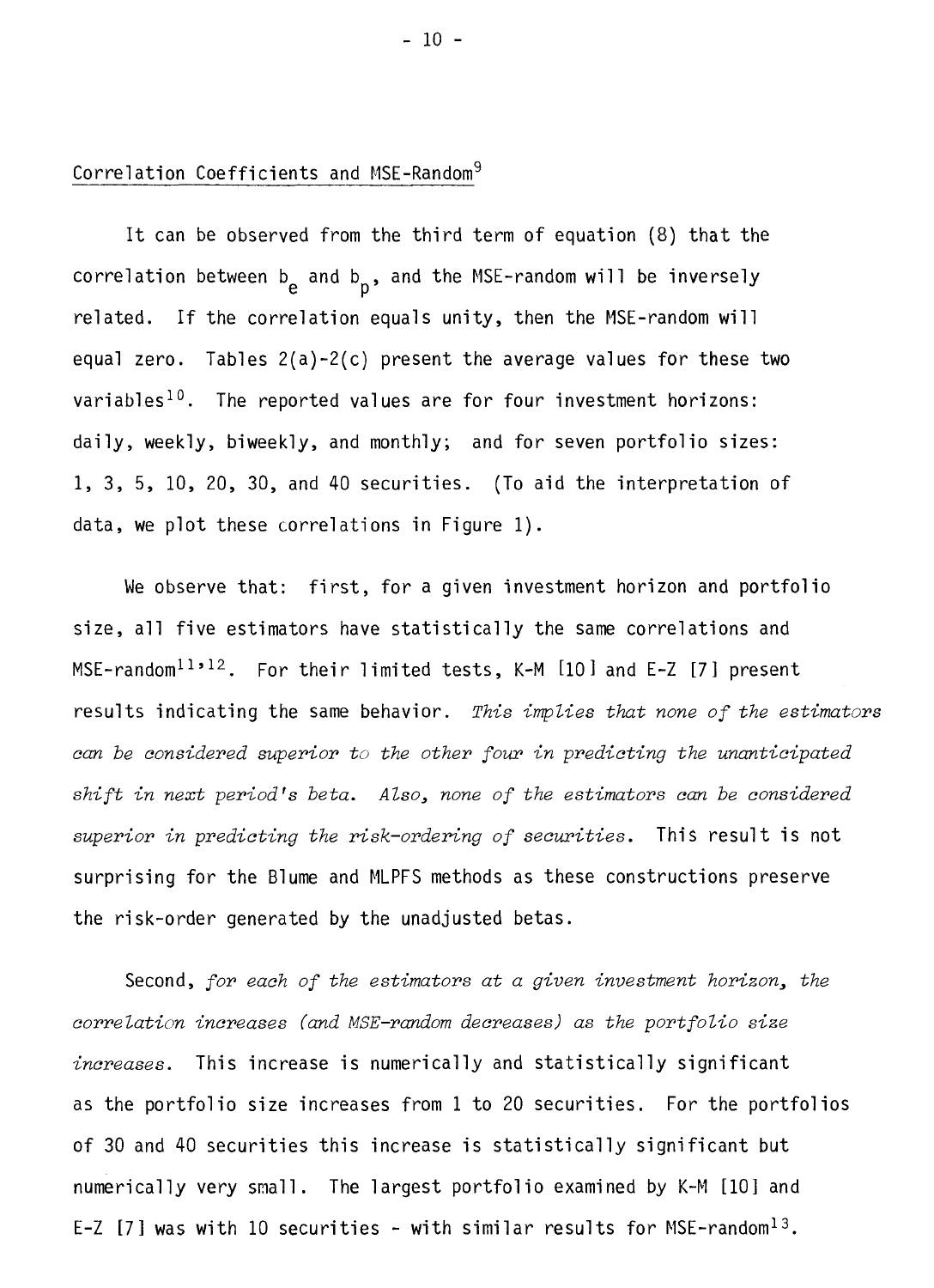### Correlation Coefficients and MSE-Random9

It can be observed from the third term of equation (8) that the correlation between b<sub>e</sub> and b<sub>p</sub>, and the MSE-random will be inversely related. If the correlation equals unity, then the MSE-random will equal zero. Tables 2(a)-2(c) present the average values for these two variables<sup>10</sup>. The reported values are for four investment horizons: daily, weekly, biweekly, and monthly; and for seven portfolio sizes: 1, 3, 5, 10, 20, 30, and 40 securities. (To aid the interpretation of data, we plot these correlations in Figure 1).

We observe that: first, for a given investment horizon and portfolio size, all five estimators have statistically the same correlations and MSE-random<sup>11,12</sup>. For their limited tests, K-M  $[10]$  and E-Z  $[7]$  present results indicating the same behavior. This implies that none of the estimators can be considered superior to the other four in predicting the unanticipated shift in next period's beta. Also, none of the estimators can be considered superior in predicting the risk-ordering of securities. This result is not surprising for the Blume and MLPFS methods as these constructions preserve the risk-order generated by the unadjusted betas.

Second, for each of the estimators at a given investment horizon, the correlation increases (and MSE-random decreases) as the portfolio size increases. This increase is numerically and statistically significant as the portfolio size increases from 1 to 20 securities. For the portfolios of 30 and 40 securities this increase is statistically significant but numerically very small. The largest portfolio examined by K-M [101 and E-Z  $[7]$  was with 10 securities - with similar results for MSE-random<sup>13</sup>.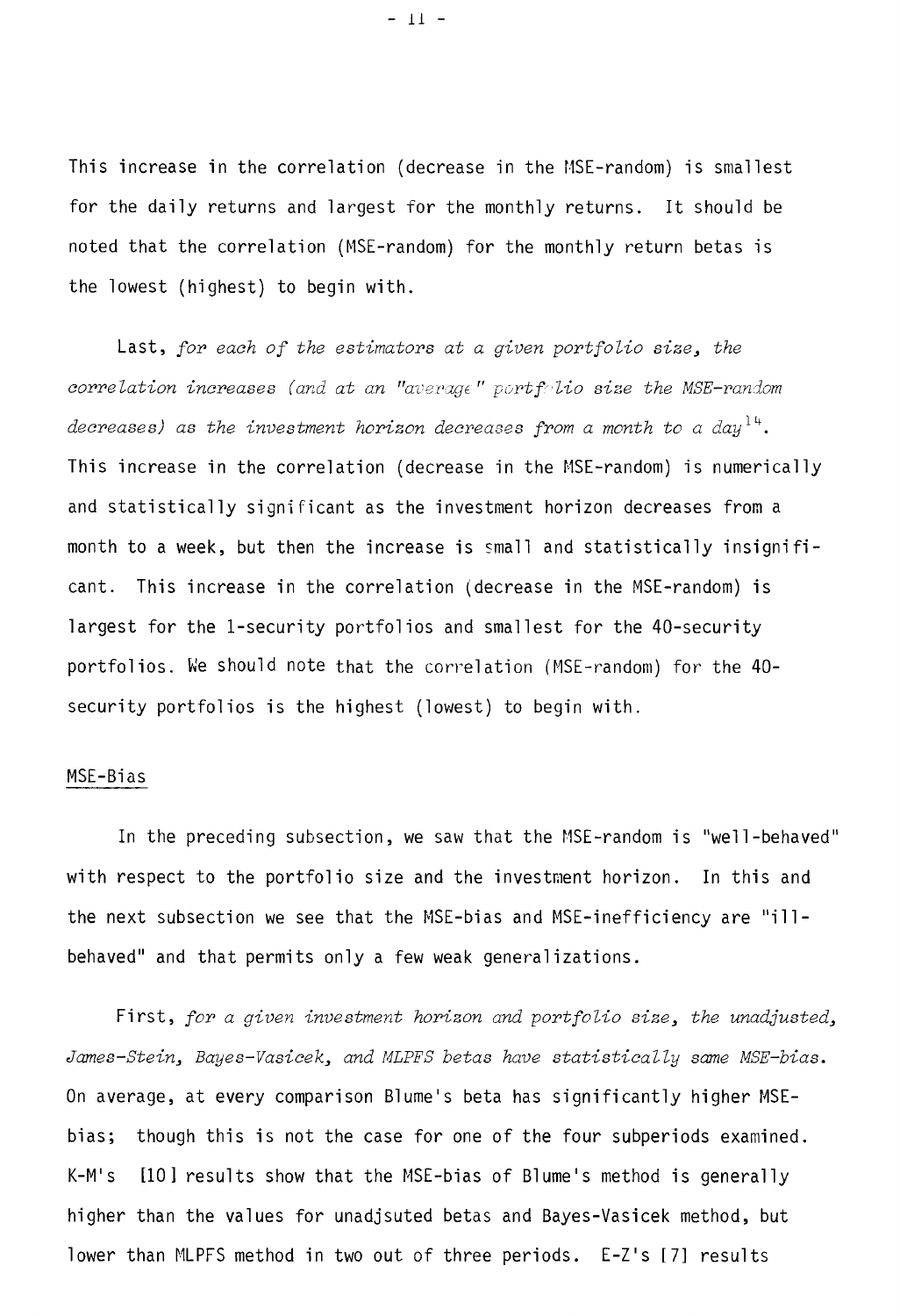This increase in the correlation (decrease in the MSE-random) is smallest for the daily returns and largest for the monthly returns. It should be noted that the correlation (MSE-random) for the monthly return betas is the lowest (highest) to begin with.

Last, for each of the estimators at a given portfolio size, the correlation increases (and at an "average" portfolio size the MSE-random decreases) as the investment horizon decreases from a month to a day<sup>14</sup>. This increase in the correlation (decrease in the MSE-random) is numerically and statistically significant as the investment horizon decreases from a month to a week, but then the increase is small and statistically insignificant. This increase in the correlation (decrease in the MSE-random) is largest for the 1-security portfolios and smallest for the 40-security portfolios. We should note that the correlation (MSE-random) for the 40 security portfolios is the highest (lowest) to begin with.

#### MSE-Bias

In the preceding subsection, we saw that the MSE-random is "well-behaved" with respect to the portfolio size and the investment horizon. In this and the next subsection we see that the MSE-bias and MSE-inefficiency are "illbehaved" and that permits only a few weak generalizations.

First, for a given investment horizon and portfolio size, the unadjusted, James-Stein, Bayes-Vasicek, and MLPFS betas have statistically same MSE-bias. On average, at every comparison Blume's beta has significantly higher MSEbias; though this is not the case for one of the four subperiods examined. K-M's [10] results show that the MSE-bias of Blume's method is generally higher than the values for unadjsuted betas and Bayes-Vasicek method, but lower than MLPFS method in two out of three periods. E-Z's [7] results

 $-11 -$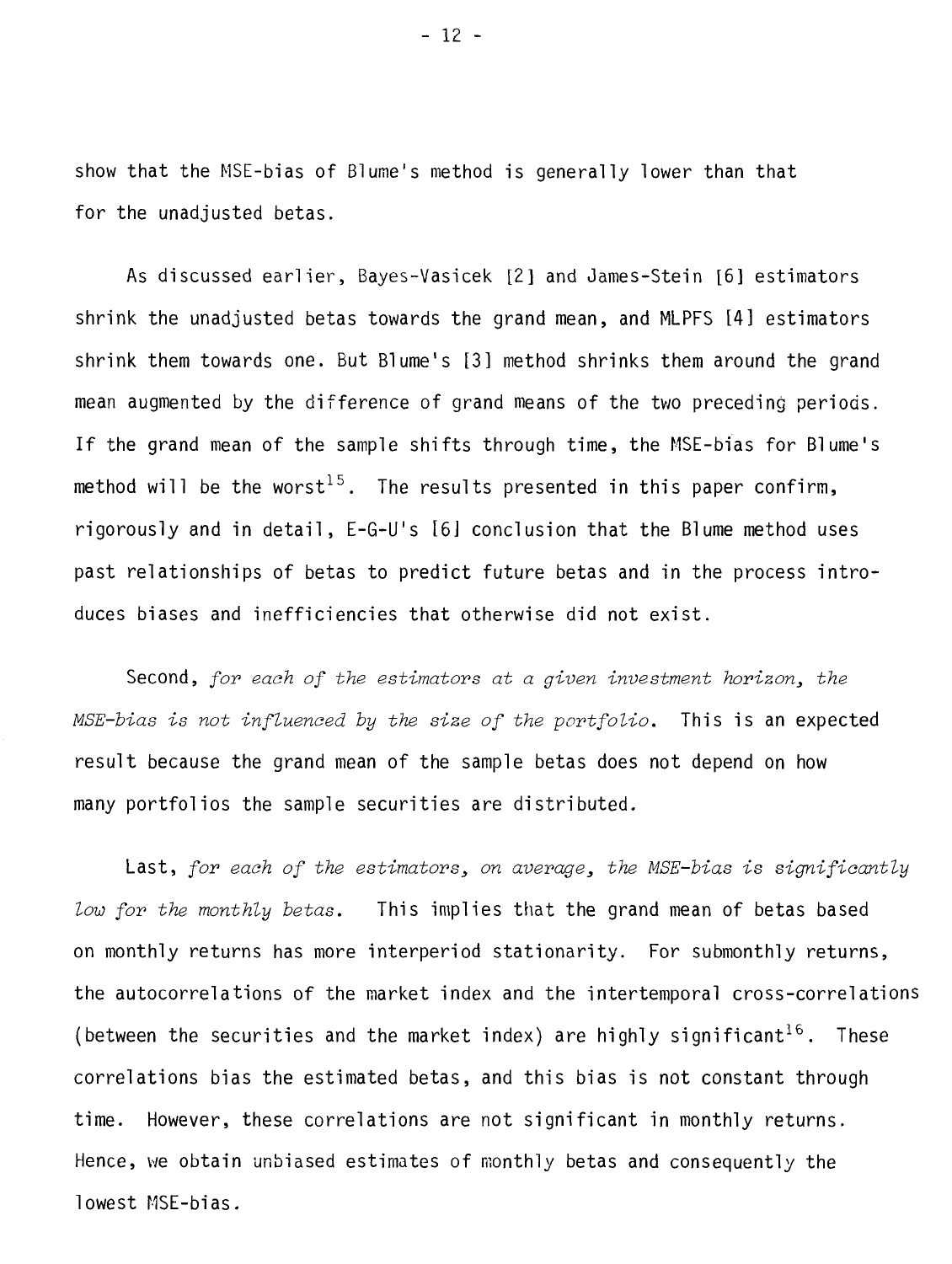show that the MSE-bias of Blume's method is generally lower than that for the unadjusted betas.

As discussed earlier, Bayes-Vasicek [2] and James-Stein [6] estimators shrink the unadjusted betas towards the grand mean, and MLPFS [41 estimators shrink them towards one. But Blume's [31 method shrinks them around the grand mean augmented by the difference of grand means of the two preceding periods. If the grand mean of the sample shifts through time, the MSE-bias for Blume's method will be the worst<sup>15</sup>. The results presented in this paper confirm, rigorously and in detail, E-G-U's [61 conclusion that the Blume method uses past relationships of betas to predict future betas and in the process introduces biases and inefficiencies that otherwise did not exist.

Second, for each of the estimators at a given investment horizon, the MSE-bias is not influenced by the size of the portfolio. This is an expected result because the grand mean of the sample betas does not depend on how many portfolios the sample securities are distributed.

Last, for each of the estimators, on average, the MSE-bias is significantly Low for the monthly betas. This implies that the grand mean of betas based on monthly returns has more interperiod stationarity. For submonthly returns, the autocorrelations of the market index and the intertemporal cross-correlations (between the securities and the market index) are highly significant<sup>16</sup>. These correlations bias the estimated betas, and this bias is not constant through time. However, these correlations are not significant in monthly returns. Hence, we obtain unbiased estimates of monthly betas and consequently the lowest MSE-bias.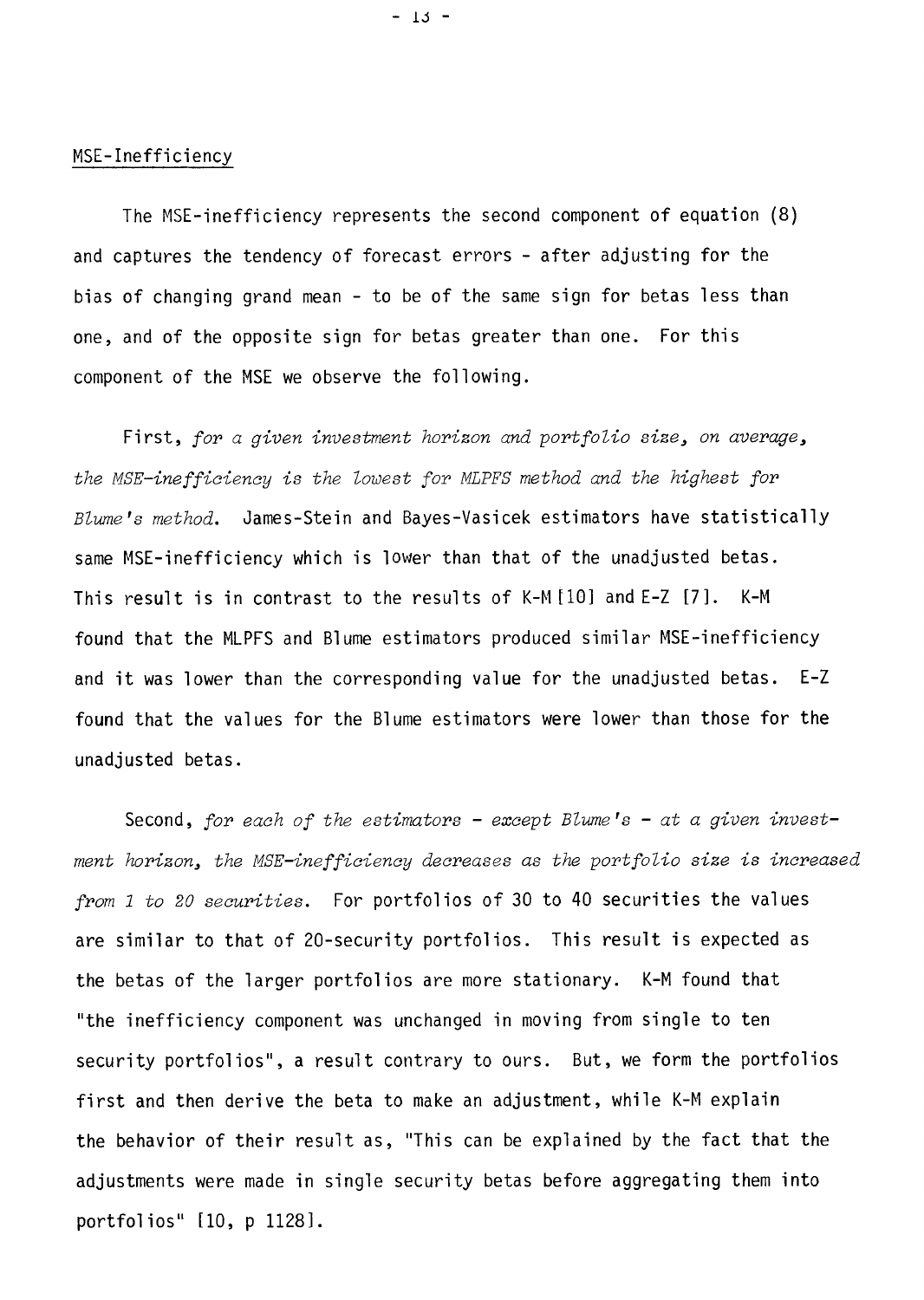#### MSE-Inefficiency

The MSE-inefficiency represents the second component of equation (8) and captures the tendency of forecast errors - after adjusting for the bias of changing grand mean - to be of the same sign for betas less than one, and of the opposite sign for betas greater than one. For this component of the MSE we observe the following.

First, for a given investment horizon and portfolio size, on average, the MSE-inefficiency is the lowest for MLPFS method and the highest for Blume's method. James-Stein and Bayes-Vasicek estimators have statistically same MSE-inefficiency which is lower than that of the unadjusted betas. This result is in contrast to the results of K-M [10] and E-Z [7]. K-M found that the MLPFS and Blume estimators produced similar MSE-inefficiency and it was lower than the corresponding value for the unadjusted betas. E-Z found that the values for the Blume estimators were lower than those for the unadjusted betas.

Second, for each of the estimators - except Blume's - at a given investment horizon, the MSE-inefficiency decreases as the portfolio size is increased from 1 to 20 securities. For portfolios of 30 to 40 securities the values are similar to that of 20-security portfolios. This result is expected as the betas of the larger portfolios are more stationary. K-M found that "the inefficiency component was unchanged in moving from single to ten security portfolios", a result contrary to ours. But, we form the portfolios first and then derive the beta to make an adjustment, while K-M explain the behavior of their result as, "This can be explained by the fact that the adjustments were made in single security betas before aggregating them into portfolios" [10, p 1128].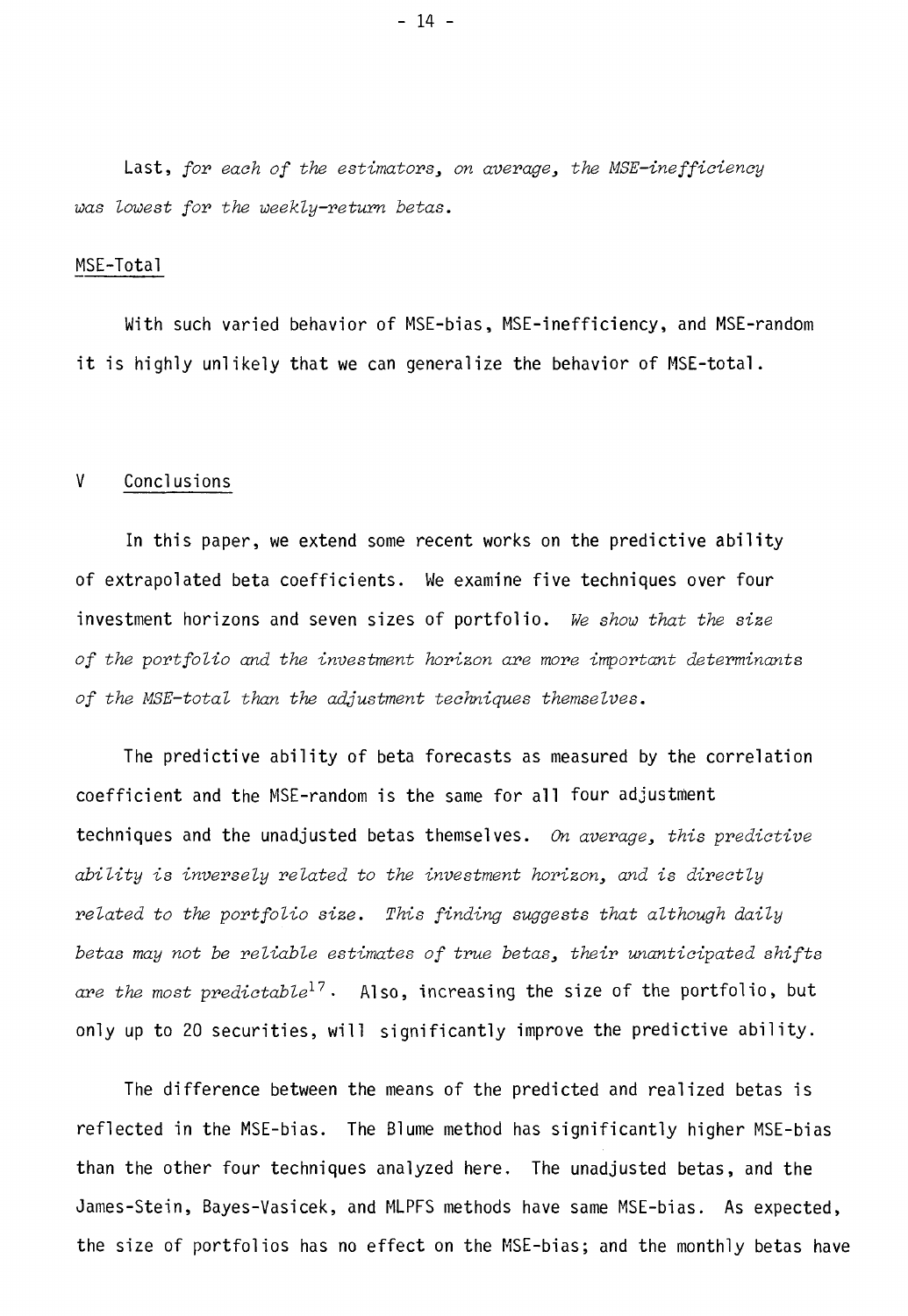Last, for each of the estimators, on average, the MSE-inefficiency was lowest for the weekly-return betas.

#### MSE-Total

With such varied behavior of MSE-bias, MSE-inefficiency, and MSE-random it is highly unlikely that we can generalize the behavior of MSE-total.

#### V Conclusions

In this paper, we extend some recent works on the predictive ability of extrapolated beta coefficients. We examine five techniques over four investment horizons and seven sizes of portfolio. We show that the size of the portfolio and the investment horizon are more important determinants of the MSE—total than the adjustment techniques themselves.

The predictive ability of beta forecasts as measured by the correlation coefficient and the MSE-random is the same for all four adjustment techniques and the unadjusted betas themselves. On average, this predictive ability is inversely related to the investment horizon, and is directly related to the portfolio size. This finding suggests that although daily betas may not be reliable estimates of true betas, their unanticipated shifts are the most predictable<sup>17</sup>. Also, increasing the size of the portfolio, but only up to 20 securities, will significantly improve the predictive ability.

The difference between the means of the predicted and realized betas is reflected in the MSE-bias. The Blume method has significantly higher MSE-bias than the other four techniques analyzed here. The unadjusted betas, and the James-Stein, Bayes-Vasicek, and MLPFS methods have same MSE-bias. As expected, the size of portfolios has no effect on the MSE-bias; and the monthly betas have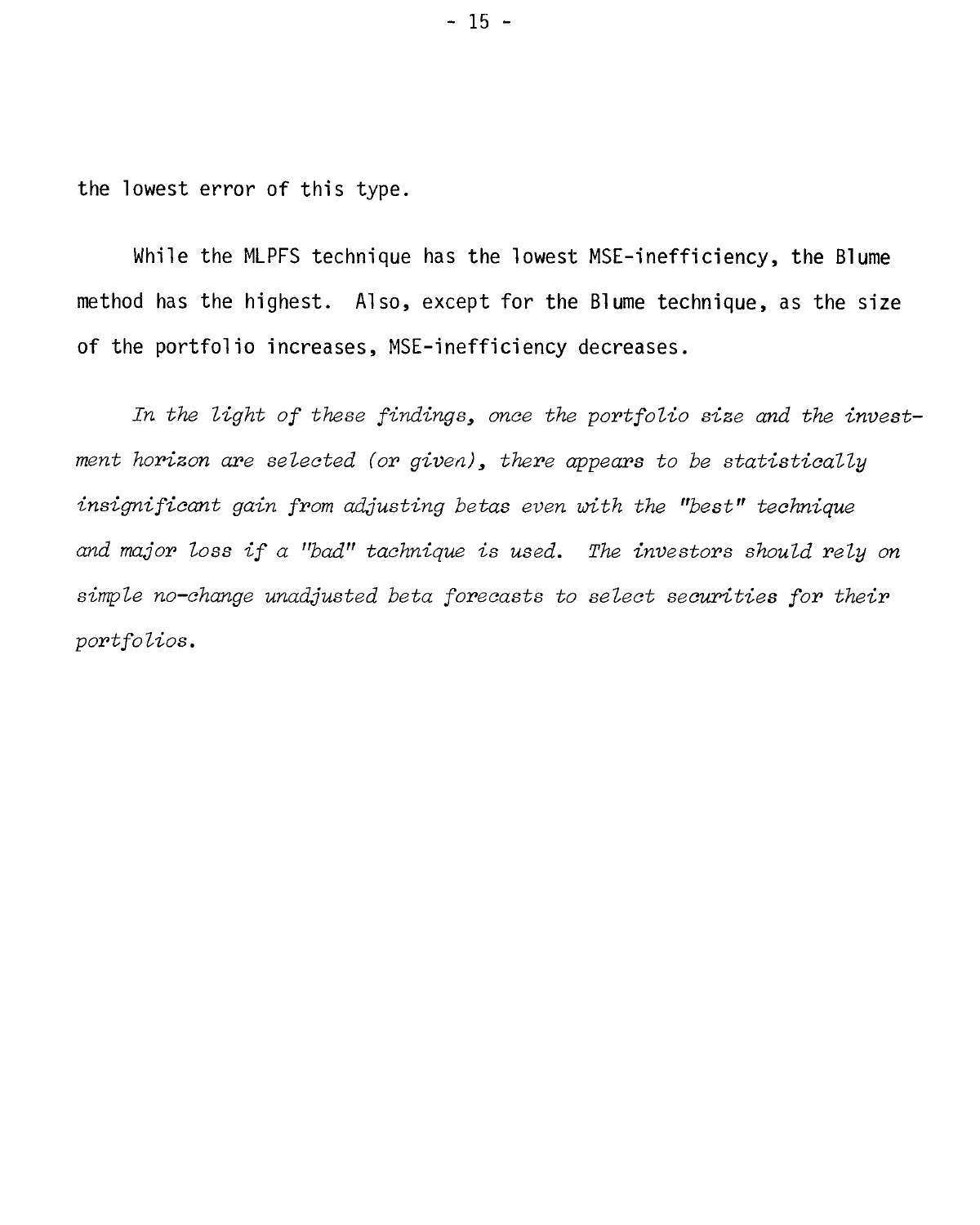the lowest error of this type.

While the MLPFS technique has the lowest MSE-inefficiency, the Blume method has the highest. Also, except for the Blume technique, as the size of the portfolio increases, MSE-inefficiency decreases.

In the light of these findings, once the portfolio size and the investment horizon are selected (or given), there appears to be statistically insignificant gain from adjusting betas even with the "best" technique and major Loss if a "bad" tachnique is used. The investors should rely on simple no-change unadjusted beta forecasts to select securities for their portfolios.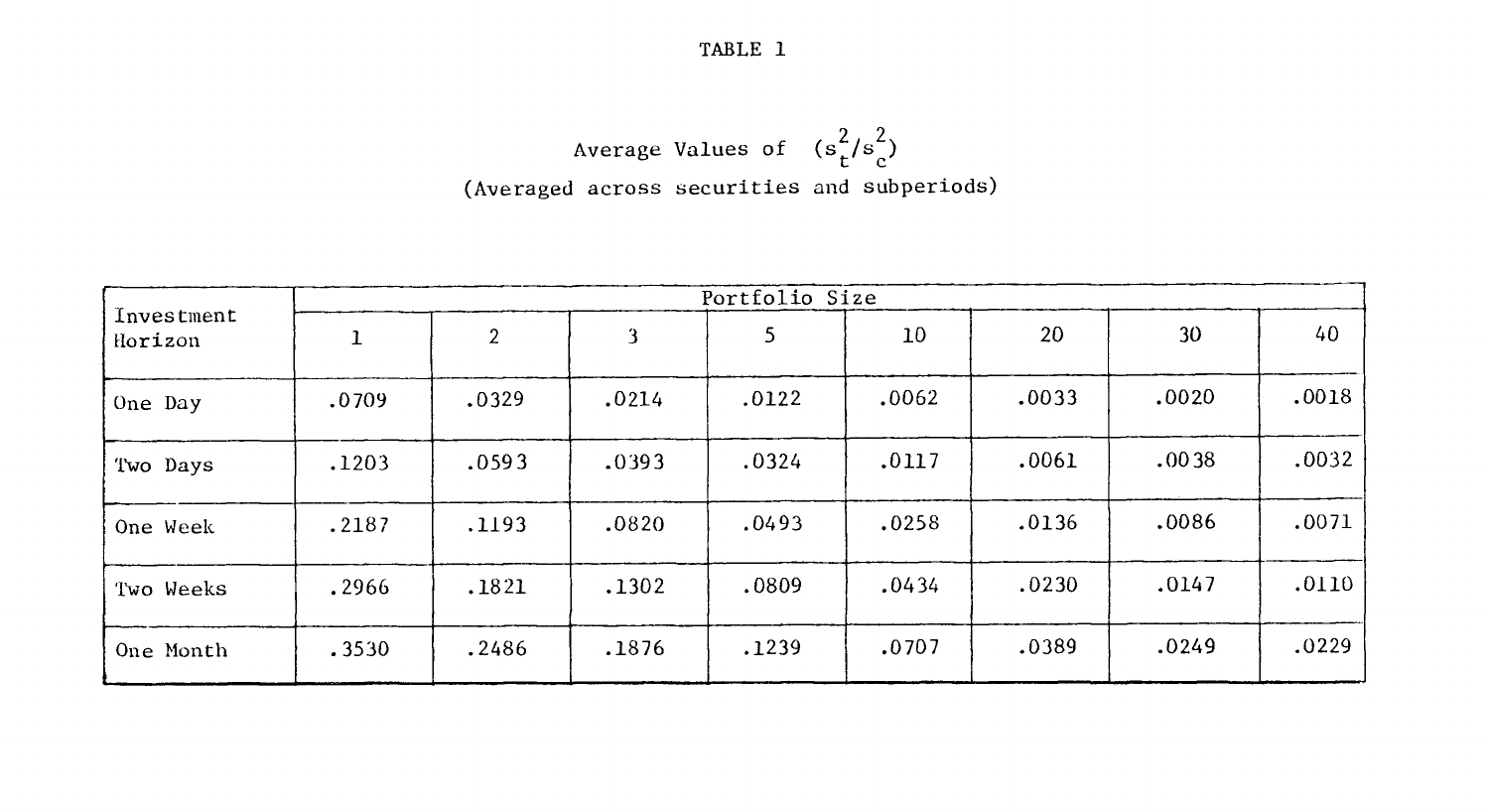TABLE 1

Average Values of 
$$
(s_t^2/s_c^2)
$$

\n(Average across securities and subperiods)

|                       | Portfolio Size |       |       |       |       |       |       |       |  |  |  |  |
|-----------------------|----------------|-------|-------|-------|-------|-------|-------|-------|--|--|--|--|
| Investment<br>Horizon |                | 2     | 3     | 5     | 10    | 20    | 30    | 40    |  |  |  |  |
| One Day               | .0709          | .0329 | .0214 | .0122 | .0062 | .0033 | .0020 | .0018 |  |  |  |  |
| Two Days              | .1203          | .0593 | .0393 | .0324 | .0117 | .0061 | .0038 | .0032 |  |  |  |  |
| One Week              | .2187          | .1193 | .0820 | .0493 | .0258 | .0136 | .0086 | .0071 |  |  |  |  |
| Two Weeks             | .2966          | .1821 | .1302 | .0809 | .0434 | .0230 | .0147 | .0110 |  |  |  |  |
| One Month             | .3530          | .2486 | .1876 | .1239 | .0707 | .0389 | .0249 | .0229 |  |  |  |  |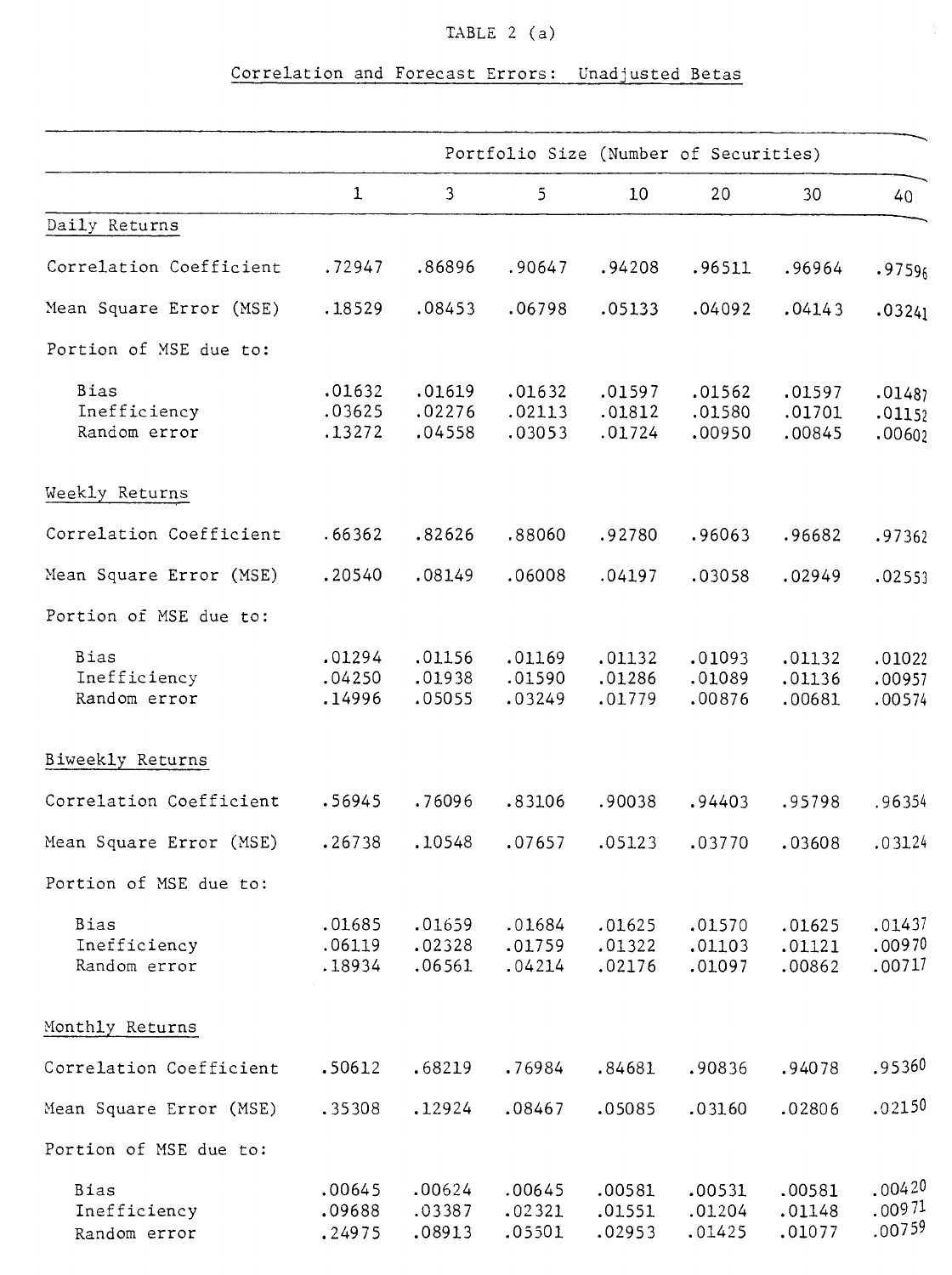## TABLE  $2(a)$

## Correlation and Forecast Errors: Unadjusted Betas

|                              | Portfolio Size (Number of Securities) |                  |                  |                  |                  |                  |                  |  |
|------------------------------|---------------------------------------|------------------|------------------|------------------|------------------|------------------|------------------|--|
|                              | 1                                     | $\mathfrak{Z}$   | 5                | 10               | 20               | 30               | 40               |  |
| Daily Returns                |                                       |                  |                  |                  |                  |                  |                  |  |
| Correlation Coefficient      | .72947                                | .86896           | .90647           | .94208           | .96511           | .96964           | .97596           |  |
| Mean Square Error (MSE)      | .18529                                | .08453           | .06798           | .05133           | .04092           | .04143           | .03241           |  |
| Portion of MSE due to:       |                                       |                  |                  |                  |                  |                  |                  |  |
| Bias                         | .01632                                | .01619           | .01632           | .01597           | .01562           | .01597           | .01487           |  |
| Inefficiency<br>Random error | .03625<br>.13272                      | .02276<br>.04558 | .02113<br>.03053 | .01812<br>.01724 | .01580<br>.00950 | .01701<br>.00845 | .01152<br>.00602 |  |
| Weekly Returns               |                                       |                  |                  |                  |                  |                  |                  |  |
| Correlation Coefficient      | .66362                                | .82626           | .88060           | .92780           | .96063           | .96682           | .97362           |  |
| Mean Square Error (MSE)      | .20540                                | .08149           | .06008           | .04197           | .03058           | .02949           | .02553           |  |
| Portion of MSE due to:       |                                       |                  |                  |                  |                  |                  |                  |  |
| Bias                         | .01294                                | .01156           | .01169           | .01132           | .01093           | .01132           | .01022           |  |
| Inefficiency<br>Random error | .04250<br>.14996                      | .01938<br>.05055 | .01590<br>.03249 | .01286<br>.01779 | .01089<br>.00876 | .01136<br>.00681 | .00957<br>.00574 |  |
| Biweekly Returns             |                                       |                  |                  |                  |                  |                  |                  |  |
| Correlation Coefficient      | .56945                                | .76096           | .83106           | .90038           | .94403           | .95798           | .96354           |  |
| Mean Square Error (MSE)      | .26738                                | .10548           | .07657           | .05123           | .03770           | .03608           | .03124           |  |
| Portion of MSE due to:       |                                       |                  |                  |                  |                  |                  |                  |  |
| Bias                         | .01685                                | .01659           | .01684           | .01625           | .01570           | .01625           | .01437           |  |
| Inefficiency<br>Random error | .06119<br>.18934                      | .02328<br>.06561 | .01759<br>.04214 | .01322<br>.02176 | .01103<br>.01097 | .01121<br>.00862 | .00970<br>.00717 |  |
| Monthly Returns              |                                       |                  |                  |                  |                  |                  |                  |  |
| Correlation Coefficient      | .50612                                | .68219           | .76984           | .84681           | .90836           | .94078           | .95360           |  |
| Mean Square Error (MSE)      | .35308                                | .12924           | .08467           | .05085           | .03160           | .02806           | .02150           |  |
| Portion of MSE due to:       |                                       |                  |                  |                  |                  |                  |                  |  |
| Bias                         | .00645                                | .00624           | .00645           | .00581           | .00531           | .00581           | .00420           |  |
| Inefficiency<br>Random error | .09688<br>.24975                      | .03387<br>.08913 | .02321<br>.05501 | .01551<br>.02953 | .01204<br>.01425 | .01148<br>.01077 | .00971<br>.00759 |  |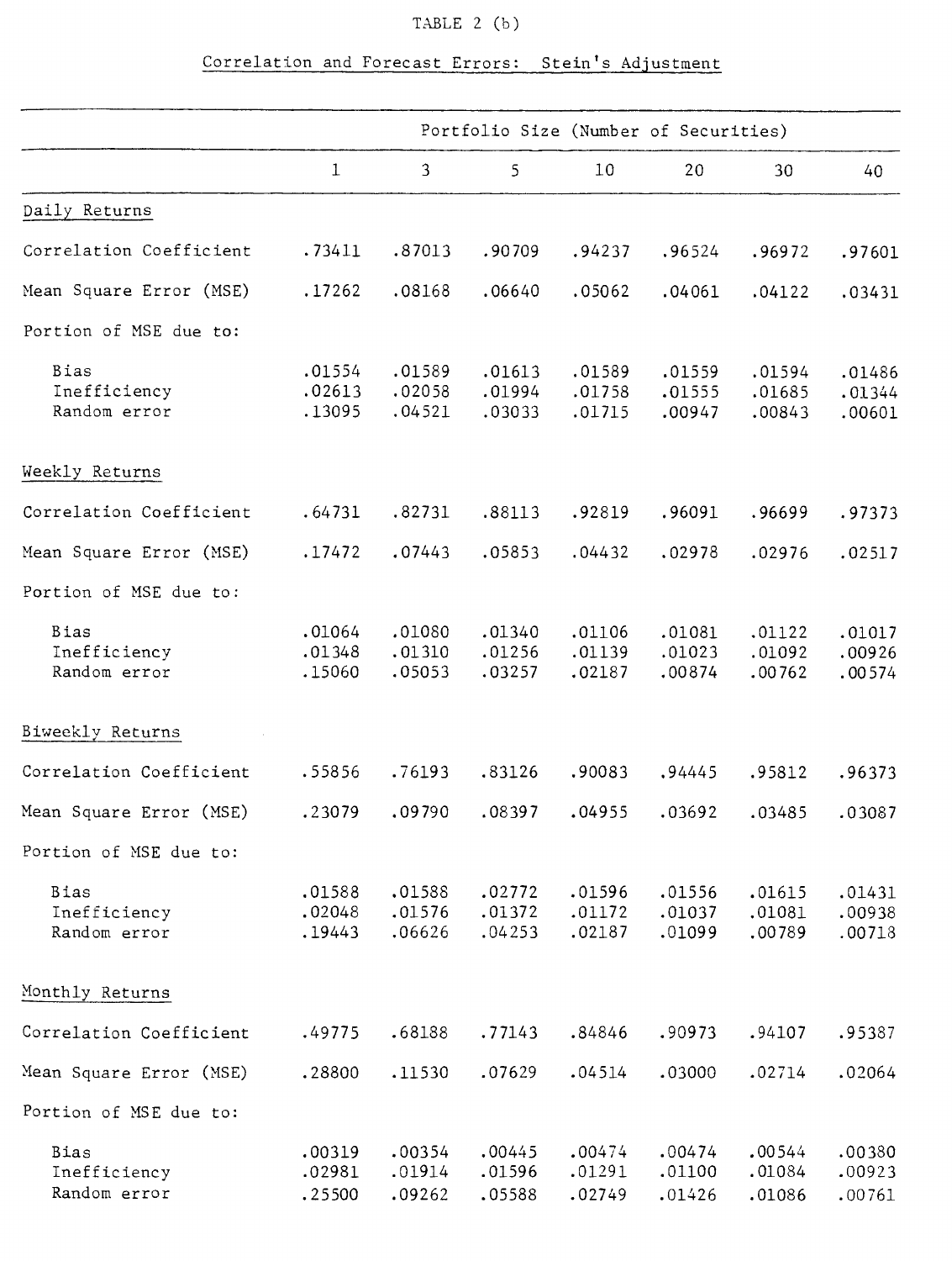### TABLE 2 (b)

| $\mathbf 1$<br>Daily Returns<br>Correlation Coefficient<br>.73411 | $\overline{3}$<br>.87013<br>.08168 | 5<br>.90709<br>.06640 | 10<br>.94237 | 20<br>.96524 | 30<br>.96972 | 40     |
|-------------------------------------------------------------------|------------------------------------|-----------------------|--------------|--------------|--------------|--------|
|                                                                   |                                    |                       |              |              |              |        |
|                                                                   |                                    |                       |              |              |              |        |
|                                                                   |                                    |                       |              |              |              | .97601 |
| Mean Square Error (MSE)<br>.17262                                 |                                    |                       | .05062       | .04061       | .04122       | .03431 |
| Portion of MSE due to:                                            |                                    |                       |              |              |              |        |
| Bias<br>.01554                                                    | .01589                             | .01613                | .01589       | .01559       | .01594       | .01486 |
| Inefficiency<br>.02613                                            | .02058                             | .01994                | .01758       | .01555       | .01685       | .01344 |
| Random error<br>.13095                                            | .04521                             | .03033                | .01715       | .00947       | .00843       | .00601 |
| Weekly Returns                                                    |                                    |                       |              |              |              |        |
| Correlation Coefficient<br>.64731                                 | .82731                             | .88113                | .92819       | .96091       | .96699       | .97373 |
| Mean Square Error (MSE)<br>.17472                                 | .07443                             | .05853                | .04432       | .02978       | .02976       | .02517 |
| Portion of MSE due to:                                            |                                    |                       |              |              |              |        |
| Bias<br>.01064                                                    | .01080                             | .01340                | .01106       | .01081       | .01122       | .01017 |
| Inefficiency<br>.01348                                            | .01310                             | .01256                | .01139       | .01023       | .01092       | .00926 |
| Random error<br>.15060                                            | .05053                             | .03257                | .02187       | .00874       | .00762       | .00574 |
| Biweekly Returns                                                  |                                    |                       |              |              |              |        |
| Correlation Coefficient<br>.55856                                 | .76193                             | .83126                | .90083       | .94445       | .95812       | .96373 |
| Mean Square Error (MSE)<br>.23079                                 | .09790                             | .08397                | .04955       | .03692       | .03485       | .03087 |
| Portion of MSE due to:                                            |                                    |                       |              |              |              |        |
| <b>Bias</b><br>.01588                                             | .01588                             | .02772                | .01596       | .01556       | .01615       | .01431 |
| Inefficiency<br>.02048                                            | .01576                             | .01372                | .01172       | .01037       | .01081       | .00938 |
| Random error<br>.19443                                            | .06626                             | .04253                | .02187       | .01099       | .00789       | .00718 |
| Monthly Returns                                                   |                                    |                       |              |              |              |        |
| Correlation Coefficient<br>.49775                                 | .68188                             | .77143                | .84846       | .90973       | .94107       | .95387 |
| Mean Square Error (MSE)<br>.28800                                 | .11530                             | .07629                | .04514       | .03000       | .02714       | .02064 |
| Portion of MSE due to:                                            |                                    |                       |              |              |              |        |
| Bias<br>.00319                                                    | .00354                             | .00445                | .00474       | .00474       | .00544       | .00380 |
| Inefficiency<br>.02981                                            | .01914                             | .01596                | .01291       | .01100       | .01084       | .00923 |
| Random error<br>.25500                                            | .09262                             | .05588                | .02749       | .01426       | .01086       | .00761 |

## Correlation and Forecast Errors: Stein's Adjustment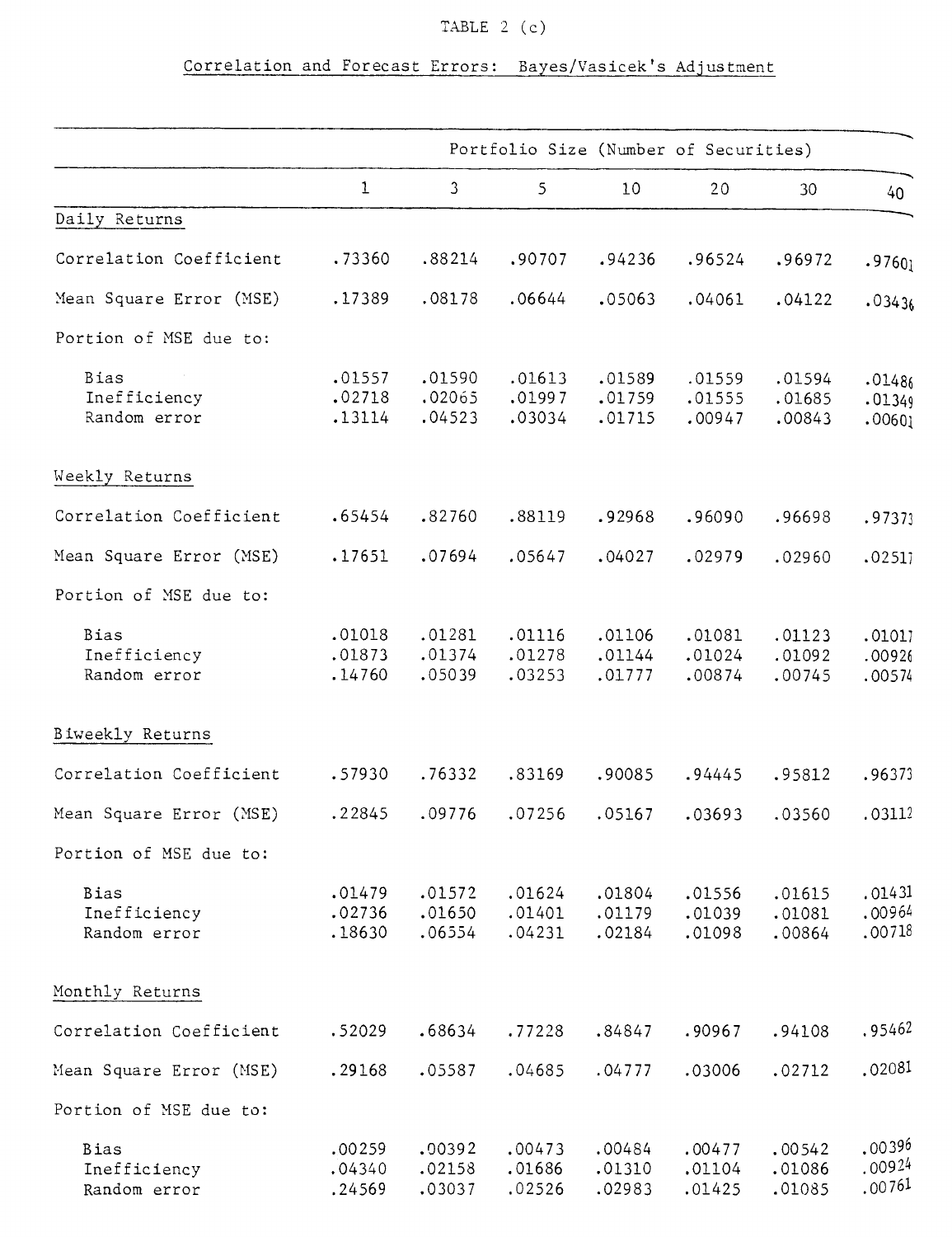## TABLE  $2$  (c)

## Correlation and Forecast Errors: Bayes/Vasicek's Adjustment

|                              | Portfolio Size (Number of Securities) |                  |                  |                  |                  |                  |                  |
|------------------------------|---------------------------------------|------------------|------------------|------------------|------------------|------------------|------------------|
|                              | $\mathbf{1}$                          | $\mathbf{3}$     | 5                | 10               | 20               | 30               | 40               |
| Daily Returns                |                                       |                  |                  |                  |                  |                  |                  |
| Correlation Coefficient      | .73360                                | .88214           | .90707           | .94236           | .96524           | .96972           | .9760j           |
| Mean Square Error (MSE)      | .17389                                | .08178           | .06644           | .05063           | .04061           | .04122           | .03436           |
| Portion of MSE due to:       |                                       |                  |                  |                  |                  |                  |                  |
| Bias                         | .01557                                | .01590           | .01613           | .01589           | .01559           | .01594           | .01486           |
| Inefficiency<br>Random error | .02718<br>.13114                      | .02065<br>.04523 | .01997<br>.03034 | .01759<br>.01715 | .01555<br>.00947 | .01685<br>.00843 | .01349<br>.00601 |
| Weekly Returns               |                                       |                  |                  |                  |                  |                  |                  |
| Correlation Coefficient      | .65454                                | .82760           | .88119           | .92968           | .96090           | .96698           | .97373           |
| Mean Square Error (MSE)      | .17651                                | .07694           | .05647           | .04027           | .02979           | .02960           | .02517           |
| Portion of MSE due to:       |                                       |                  |                  |                  |                  |                  |                  |
| Bias                         | .01018                                | .01281           | .01116           | .01106           | .01081           | .01123           | .01017           |
| Inefficiency<br>Random error | .01873<br>.14760                      | .01374<br>.05039 | .01278<br>.03253 | .01144<br>.01777 | .01024<br>.00874 | .01092<br>.00745 | .00926<br>.00574 |
| Biweekly Returns             |                                       |                  |                  |                  |                  |                  |                  |
| Correlation Coefficient      | .57930                                | .76332           | .83169           | .90085           | .94445           | .95812           | .96373           |
| Mean Square Error (MSE)      | .22845                                | .09776           | .07256           | .05167           | .03693           | .03560           | .03112           |
| Portion of MSE due to:       |                                       |                  |                  |                  |                  |                  |                  |
| Bias                         | .01479                                | .01572           | .01624           | .01804           | .01556           | .01615           | .01431           |
| Inefficiency<br>Random error | .02736<br>.18630                      | .01650<br>.06554 | .01401<br>.04231 | .01179<br>.02184 | .01039<br>.01098 | .01081<br>.00864 | .00964<br>.00718 |
| Monthly Returns              |                                       |                  |                  |                  |                  |                  |                  |
| Correlation Coefficient      | .52029                                | .68634           | .77228           | .84847           | .90967           | .94108           | .95462           |
| Mean Square Error (MSE)      | .29168                                | .05587           | .04685           | .04777           | .03006           | .02712           | .02081           |
| Portion of MSE due to:       |                                       |                  |                  |                  |                  |                  |                  |
| Bias                         | .00259                                | .00392           | .00473           | .00484           | .00477           | .00542           | .00396           |
| Inefficiency<br>Random error | .04340<br>.24569                      | .02158<br>.03037 | .01686<br>.02526 | .01310<br>.02983 | .01104<br>.01425 | .01086<br>.01085 | .00924<br>.00761 |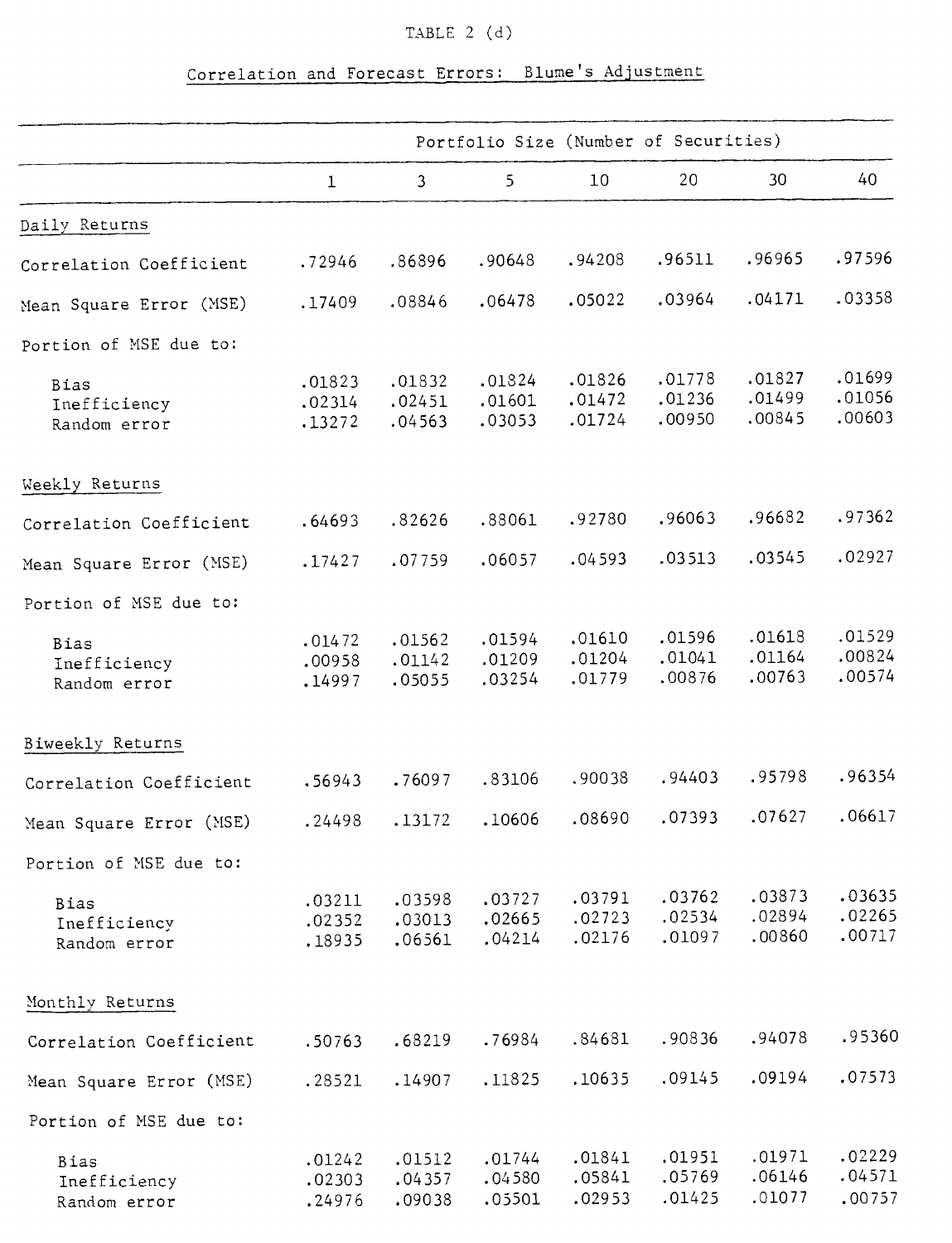## TABLE 2 (d)

## Correlation and Forecast Errors: Blume's Adjustment

|                                             | Portfolio Size (Number of Securities) |                            |                            |                            |                            |                            |                            |  |
|---------------------------------------------|---------------------------------------|----------------------------|----------------------------|----------------------------|----------------------------|----------------------------|----------------------------|--|
|                                             | $\mathbf 1$                           | 3                          | 5                          | 10                         | 20                         | 30                         | 40                         |  |
| Daily Returns                               |                                       |                            |                            |                            |                            |                            |                            |  |
| Correlation Coefficient                     | .72946                                | .86896                     | .90648                     | .94208                     | .96511                     | .96965                     | .97596                     |  |
| Mean Square Error (MSE)                     | .17409                                | .08846                     | .06478                     | .05022                     | .03964                     | .04171                     | .03358                     |  |
| Portion of MSE due to:                      |                                       |                            |                            |                            |                            |                            |                            |  |
| <b>Bias</b><br>Inefficiency<br>Random error | .01823<br>.02314<br>.13272            | .01832<br>.02451<br>.04563 | .01824<br>.01601<br>.03053 | .01826<br>.01472<br>.01724 | .01778<br>.01236<br>.00950 | .01827<br>.01499<br>.00845 | .01699<br>.01056<br>.00603 |  |
| Weekly Returns                              |                                       |                            |                            |                            |                            |                            |                            |  |
| Correlation Coefficient                     | .64693                                | .82626                     | .88061                     | .92780                     | .96063                     | .96682                     | .97362                     |  |
| Mean Square Error (MSE)                     | .17427                                | .07759                     | .06057                     | .04593                     | .03513                     | .03545                     | .02927                     |  |
| Portion of MSE due to:                      |                                       |                            |                            |                            |                            |                            |                            |  |
| Bias<br>Inefficiency<br>Random error        | .01472<br>.00958<br>.14997            | .01562<br>.01142<br>.05055 | .01594<br>.01209<br>.03254 | .01610<br>.01204<br>.01779 | .01596<br>.01041<br>.00876 | .01618<br>.01164<br>.00763 | .01529<br>.00824<br>.00574 |  |
| Biweekly Returns                            |                                       |                            |                            |                            |                            |                            |                            |  |
| Correlation Coefficient                     | .56943                                | .76097                     | .83106                     | .90038                     | .94403                     | .95798                     | .96354                     |  |
| Mean Square Error (MSE)                     | .24498                                | .13172                     | .10606                     | .08690                     | .07393                     | .07627                     | .06617                     |  |
| Portion of MSE due to:                      |                                       |                            |                            |                            |                            |                            |                            |  |
| Bias<br>Inefficiency<br>Random error        | .03211<br>.02352<br>.18935            | .03598<br>.03013<br>.06561 | .03727<br>.02665<br>.04214 | .03791<br>.02723<br>.02176 | .03762<br>.02534<br>.01097 | .03873<br>.02894<br>.00860 | .03635<br>.02265<br>.00717 |  |
| Monthly Returns                             |                                       |                            |                            |                            |                            |                            |                            |  |
| Correlation Coefficient                     | .50763                                | .68219                     | .76984                     | .84681                     | .90836                     | .94078                     | .95360                     |  |
| Mean Square Error (MSE)                     | .28521                                | .14907                     | .11825                     | .10635                     | .09145                     | .09194                     | .07573                     |  |
| Portion of MSE due to:                      |                                       |                            |                            |                            |                            |                            |                            |  |
| Bias<br>Inefficiency<br>Random error        | .01242<br>.02303<br>.24976            | .01512<br>.04357<br>.09038 | .01744<br>.04580<br>.05501 | .01841<br>.05841<br>.02953 | .01951<br>.05769<br>.01425 | .01971<br>.06146<br>.01077 | .02229<br>.04571<br>.00757 |  |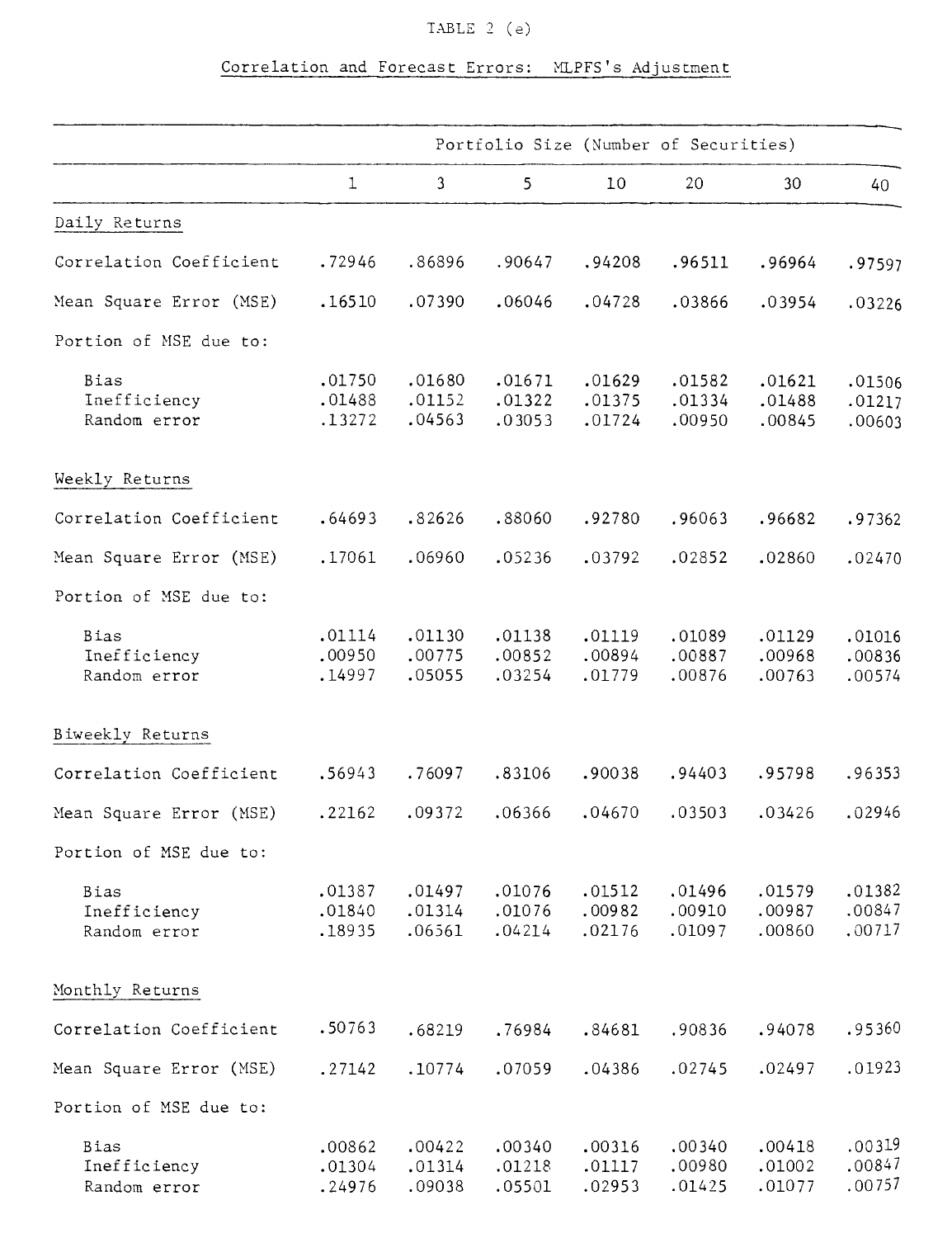## TABLE 2 (e)

## Correlation and Forecast Errors: MLPFS's Adjustment

|                                             | Portfolio Size (Number of Securities) |                            |                            |                            |                            |                            |                            |  |
|---------------------------------------------|---------------------------------------|----------------------------|----------------------------|----------------------------|----------------------------|----------------------------|----------------------------|--|
|                                             | $\mathbf 1$                           | $\mathbf{3}$               | 5                          | 10                         | 20                         | 30                         | 40                         |  |
| Daily Returns                               |                                       |                            |                            |                            |                            |                            |                            |  |
| Correlation Coefficient                     | .72946                                | .86896                     | .90647                     | .94208                     | .96511                     | .96964                     | .97597                     |  |
| Mean Square Error (MSE)                     | .16510                                | .07390                     | .06046                     | .04728                     | .03866                     | .03954                     | .03226                     |  |
| Portion of MSE due to:                      |                                       |                            |                            |                            |                            |                            |                            |  |
| Bias<br>Inefficiency<br>Random error        | .01750<br>.01488<br>.13272            | .01680<br>.01152<br>.04563 | .01671<br>.01322<br>.03053 | .01629<br>.01375<br>.01724 | .01582<br>.01334<br>.00950 | .01621<br>.01488<br>.00845 | .01506<br>.01217<br>.00603 |  |
| Weekly Returns                              |                                       |                            |                            |                            |                            |                            |                            |  |
| Correlation Coefficient                     | .64693                                | .82626                     | .88060                     | .92780                     | .96063                     | .96682                     | .97362                     |  |
| Mean Square Error (MSE)                     | .17061                                | .06960                     | .05236                     | .03792                     | .02852                     | .02860                     | .02470                     |  |
| Portion of MSE due to:                      |                                       |                            |                            |                            |                            |                            |                            |  |
| <b>Bias</b><br>Inefficiency<br>Random error | .01114<br>.00950<br>.14997            | .01130<br>.00775<br>.05055 | .01138<br>.00852<br>.03254 | .01119<br>.00894<br>.01779 | .01089<br>.00887<br>.00876 | .01129<br>.00968<br>.00763 | .01016<br>.00836<br>.00574 |  |
| Biweekly Returns                            |                                       |                            |                            |                            |                            |                            |                            |  |
| Correlation Coefficient                     | .56943                                | .76097                     | .83106                     | .90038                     | .94403                     | .95798                     | .96353                     |  |
| Mean Square Error (MSE)                     | .22162                                | .09372                     | .06366                     | .04670                     | .03503                     | .03426                     | .02946                     |  |
| Portion of MSE due to:                      |                                       |                            |                            |                            |                            |                            |                            |  |
| Bias<br>Inefficiency<br>Random error        | .01387<br>.01840<br>.18935            | .01497<br>.01314<br>.06561 | .01076<br>.01076<br>.04214 | .01512<br>.00982<br>.02176 | .01496<br>.00910<br>.01097 | .01579<br>.00987<br>.00860 | .01382<br>.00847<br>.00717 |  |
| Monthly Returns                             |                                       |                            |                            |                            |                            |                            |                            |  |
| Correlation Coefficient                     | .50763                                | .68219                     | .76984                     | .84681                     | .90836                     | .94078                     | .95360                     |  |
| Mean Square Error (MSE)                     | .27142                                | .10774                     | .07059                     | .04386                     | .02745                     | .02497                     | .01923                     |  |
| Portion of MSE due to:                      |                                       |                            |                            |                            |                            |                            |                            |  |
| Bias<br>Inefficiency<br>Random error        | .00862<br>.01304<br>.24976            | .00422<br>.01314<br>.09038 | .00340<br>.01218<br>.05501 | .00316<br>.01117<br>.02953 | .00340<br>.00980<br>.01425 | .00418<br>.01002<br>.01077 | .00319<br>.00847<br>.00757 |  |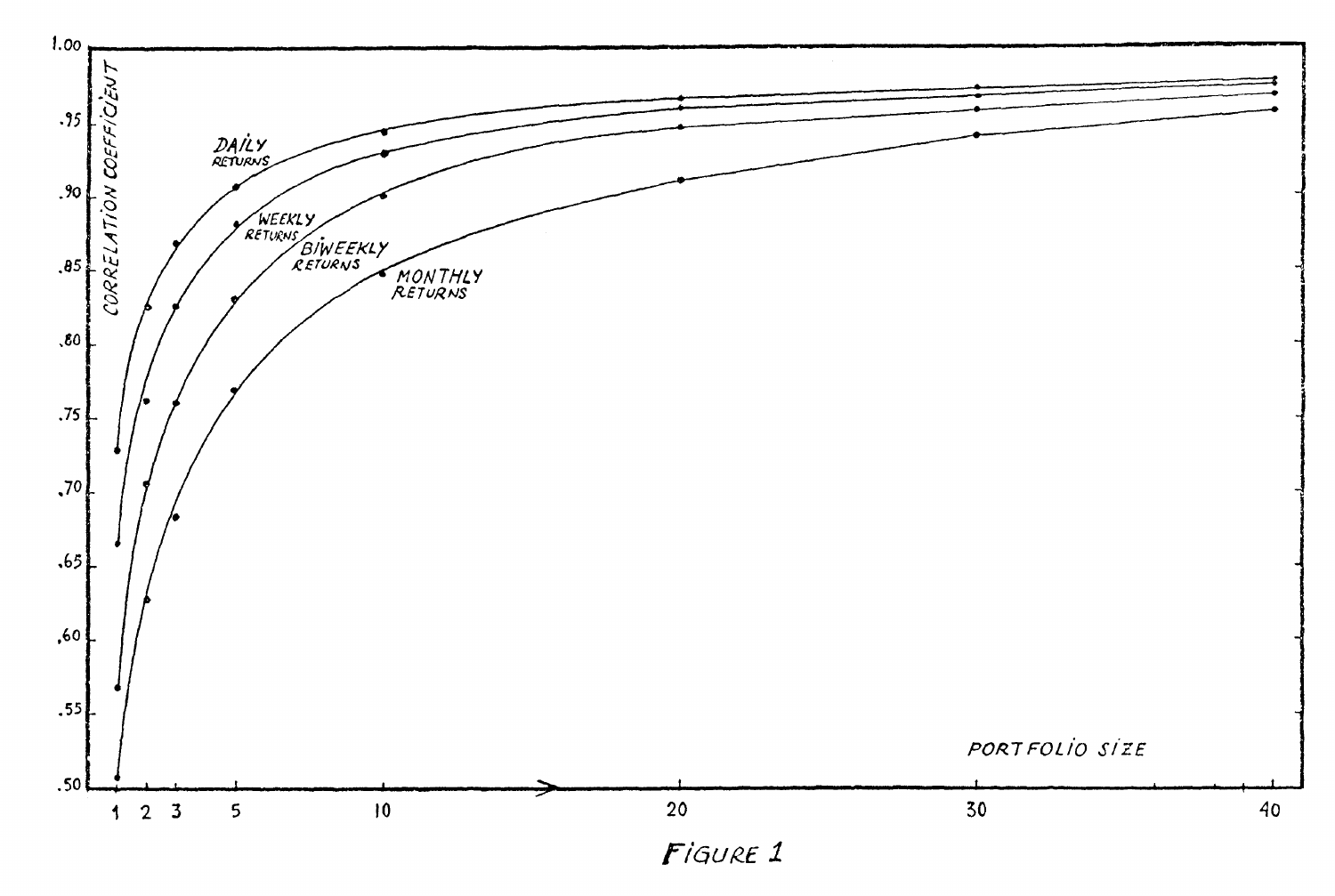

 $F$ *igure* 1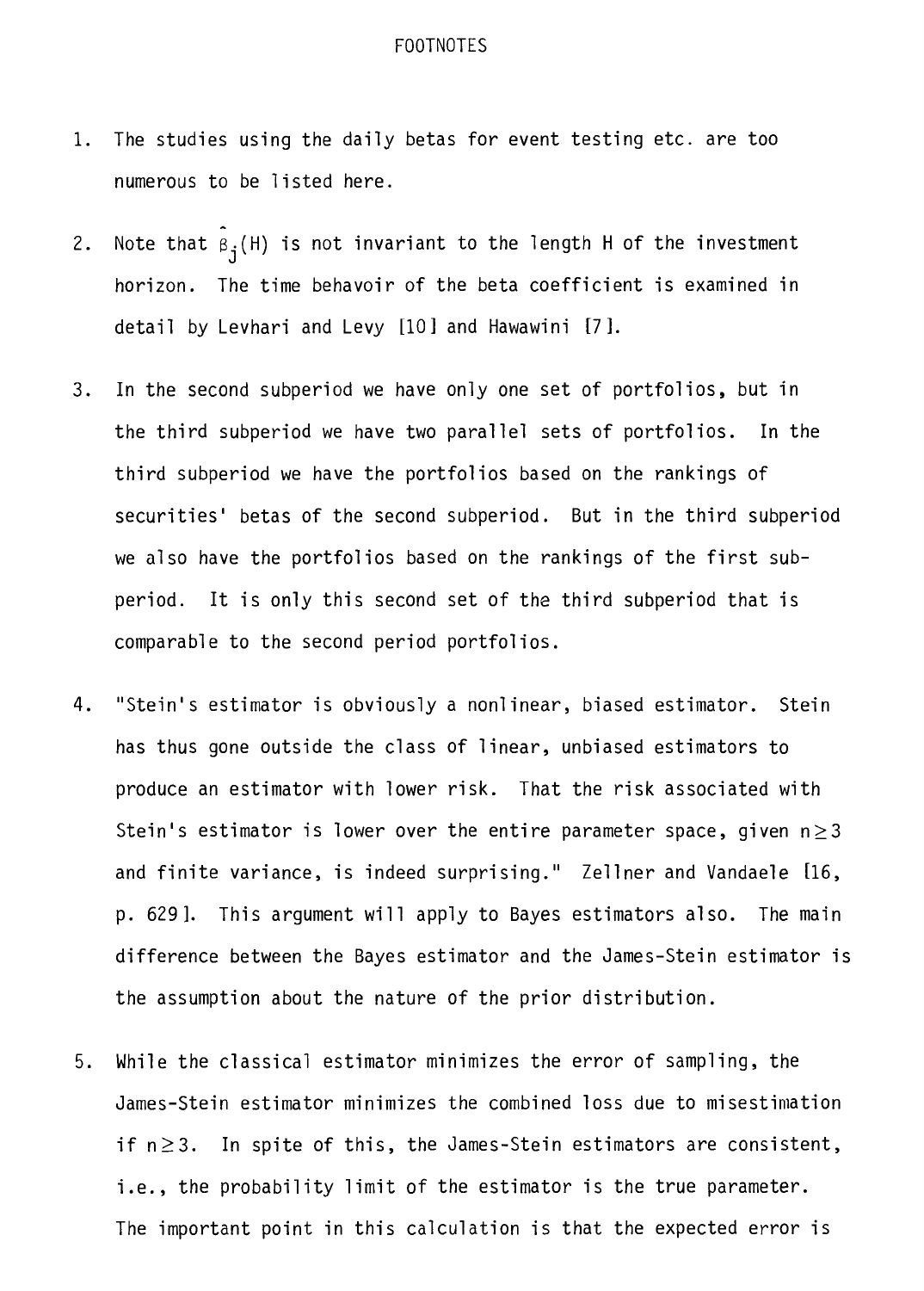#### FOOTNOTES

- 1. The studies using the daily betas for event testing etc. are too numerous to be listed here.
- 2. Note that  $\tilde{B}_{j}(H)$  is not invariant to the length H of the investment horizon. The time behavoir of the beta coefficient is examined in detail by Levhari and Levy [101 and Hawawini [71.
- 3. In the second subperiod we have only one set of portfolios, but in the third subperiod we have two parallel sets of portfolios. In the third subperiod we have the portfolios based on the rankings of securities' betas of the second subperiod. But in the third subperiod we also have the portfolios based on the rankings of the first subperiod. It is only this second set of the third subperiod that is comparable to the second period portfolios.
- 4. "Stein's estimator is obviously a nonlinear, biased estimator. Stein has thus gone outside the class of linear, unbiased estimators to produce an estimator with lower risk. That the risk associated with Stein's estimator is lower over the entire parameter space, given  $n\geq 3$ and finite variance, is indeed surprising." Zellner and Vandaele [16, p. 629]. This argument will apply to Bayes estimators also. The main difference between the Bayes estimator and the James-Stein estimator is the assumption about the nature of the prior distribution.
- 5. While the classical estimator minimizes the error of sampling, the James-Stein estimator minimizes the combined loss due to misestimation if  $n \geq 3$ . In spite of this, the James-Stein estimators are consistent, i.e., the probability limit of the estimator is the true parameter. The important point in this calculation is that the expected error is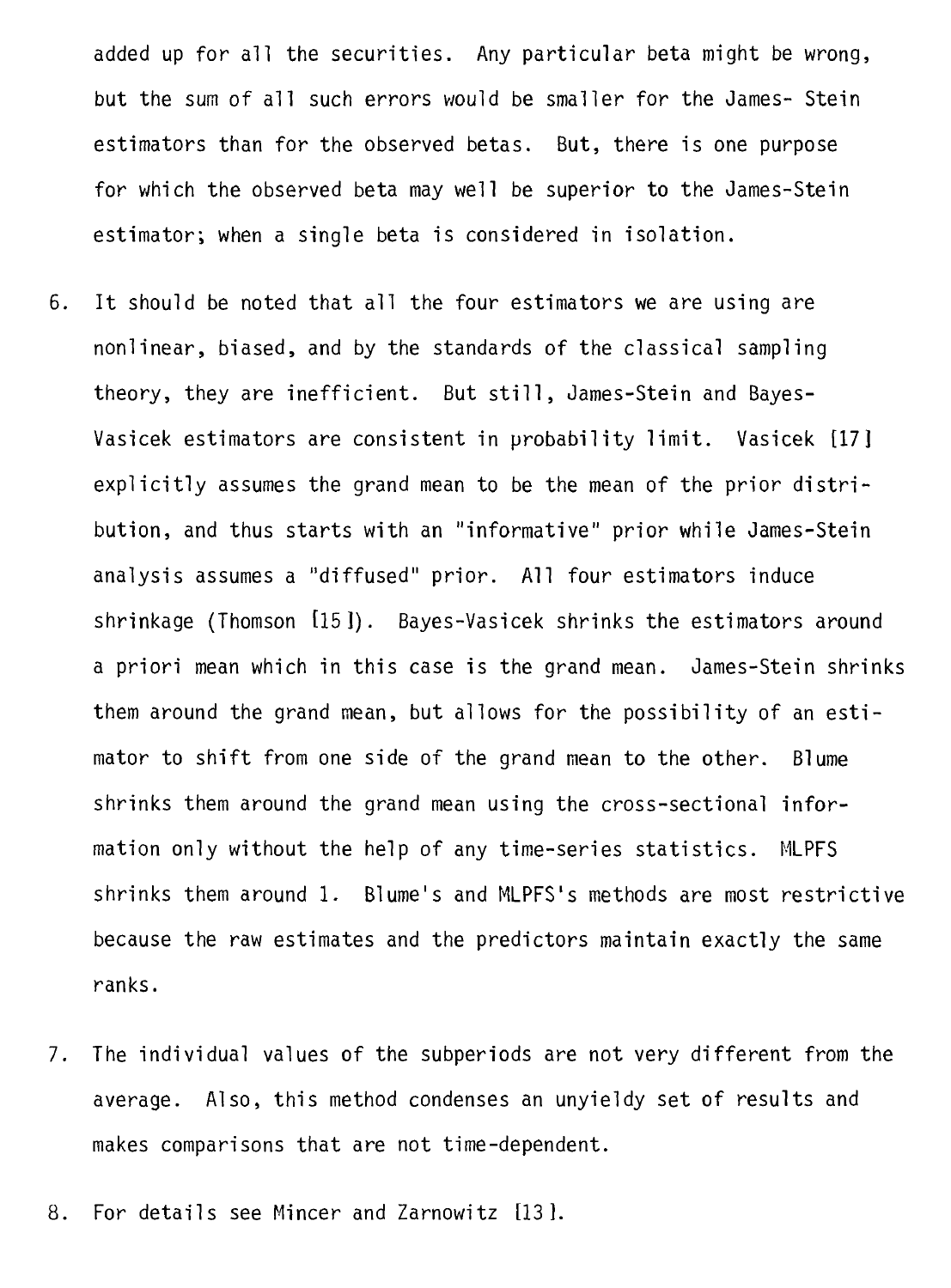added up for all the securities. Any particular beta might be wrong, but the sum of all such errors would be smaller for the James- Stein estimators than for the observed betas. But, there is one purpose for which the observed beta may well be superior to the James-Stein estimator; when a single beta is considered in isolation.

- 6. It should be noted that all the four estimators we are using are nonlinear, biased, and by the standards of the classical sampling theory, they are inefficient. But still, James-Stein and Bayes-Vasicek estimators are consistent in probability limit. Vasicek [17] explicitly assumes the grand mean to be the mean of the prior distribution, and thus starts with an "informative" prior while James-Stein analysis assumes a "diffused" prior. Ail four estimators induce shrinkage (Thomson [15]). Bayes-Vasicek shrinks the estimators around a priori mean which in this case is the grand mean. James-Stein shrinks them around the grand mean, but allows for the possibility of an estimator to shift from one side of the grand mean to the other. Blume shrinks them around the grand mean using the cross-sectional information only without the help of any time-series statistics. MLPFS shrinks them around 1. Blume's and MLPFS's methods are most restrictive because the raw estimates and the predictors maintain exactly the same ranks.
- 7. The individual values of the subperiods are not very different from the average. Also, this method condenses an unyieldy set of results and makes comparisons that are not time-dependent.
- 8. For details see Mincer and Zarnowitz [131.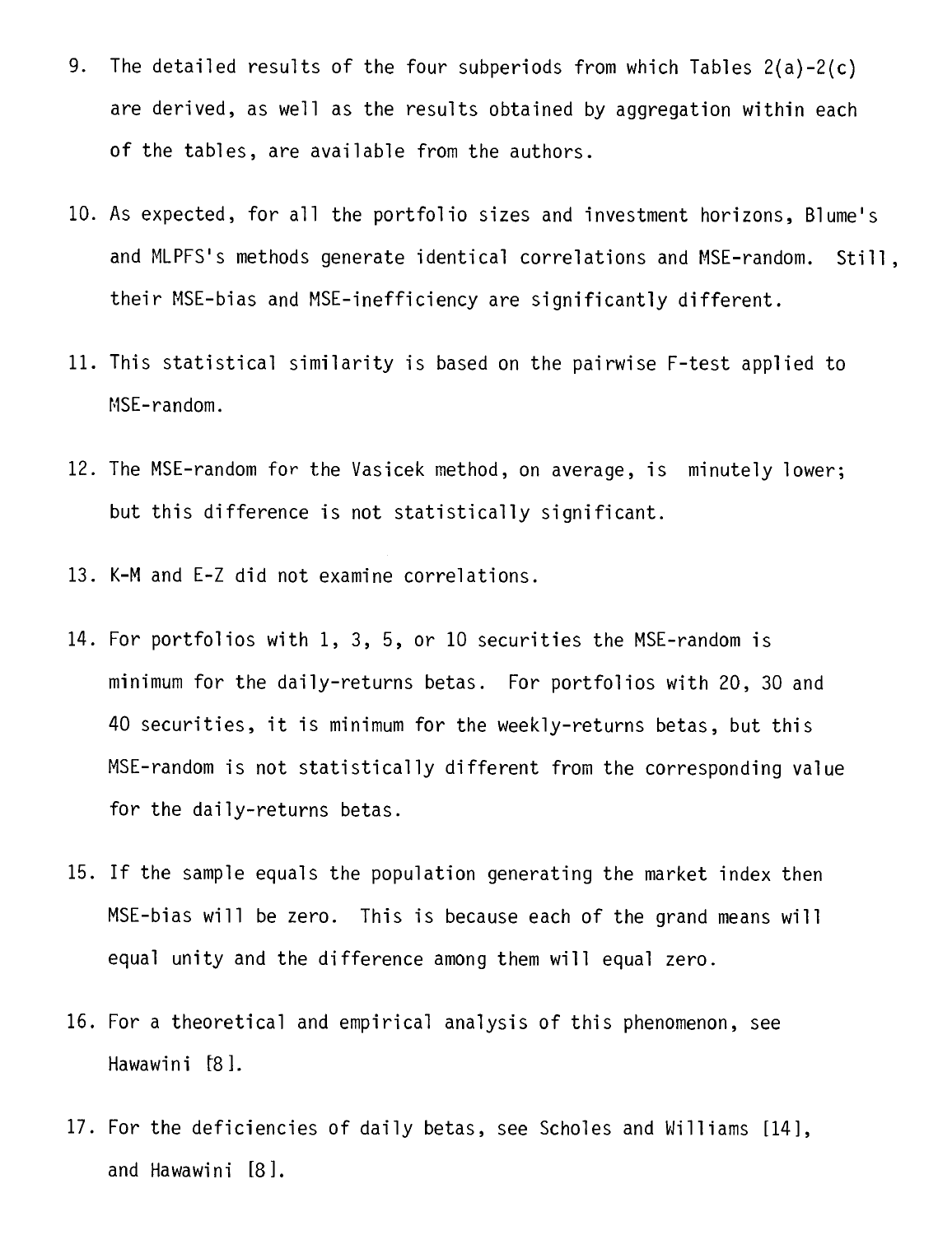- 9. The detailed results of the four subperiods from which Tables 2(a)-2(c) are derived, as well as the results obtained by aggregation within each of the tables, are available from the authors.
- 10. As expected, for all the portfolio sizes and investment horizons, Blume's and MLPFS's methods generate identical correlations and MSE-random. Still, their MSE-bias and MSE-inefficiency are significantly different.
- 11. This statistical similarity is based on the pairwise F-test applied to MSE-random.
- 12. The MSE-random for the Vasicek method, on average, is minutely lower; but this difference is not statistically significant.
- 13. K-M and E-Z did not examine correlations.
- 14. For portfolios with 1, 3, 5, or 10 securities the MSE-random is minimum for the daily-returns betas. For portfolios with 20, 30 and 40 securities, it is minimum for the weekly-returns betas, but this MSE-random is not statistically different from the corresponding value for the daily-returns betas.
- 15. If the sample equals the population generating the market index then MSE-bias will be zero. This is because each of the grand means will equal unity and the difference among them will equal zero.
- 16. For a theoretical and empirical analysis of this phenomenon, see Hawawini [8].
- 17. For the deficiencies of daily betas, see Scholes and Williams [14], and Hawawini [8].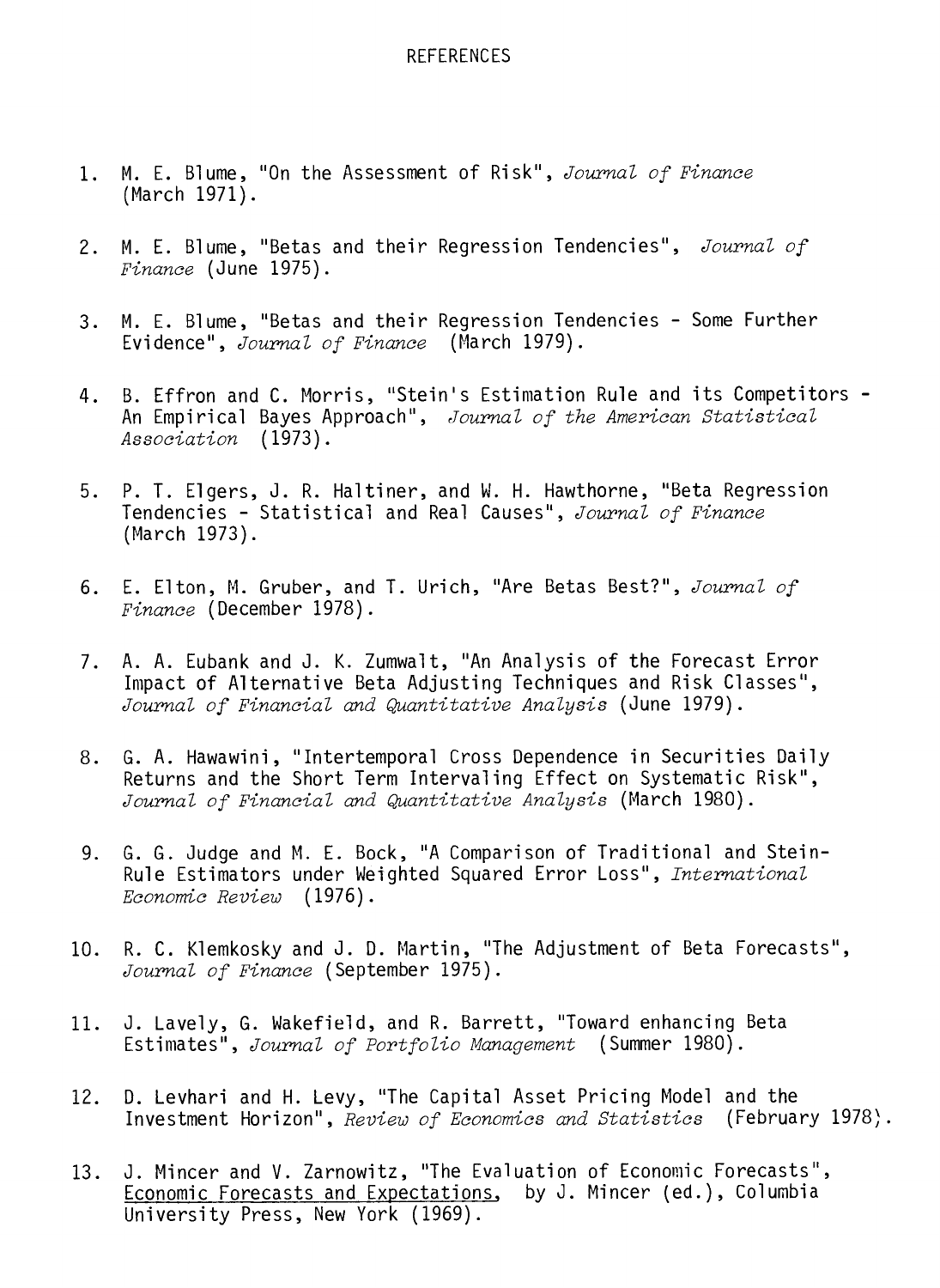#### REFERENCES

- 1. M. E. Blume, "On the Assessment of Risk", Journal of Finance (March 1971).
- 2. M. E. Blume, "Betas and their Regression Tendencies", Journal of Finance (June 1975).
- 3. M. E. Blume, "Betas and their Regression Tendencies Some Further Evidence", Journal of Finance (March 1979).
- 4. B. Effron and C. Morris, "Stein's Estimation Rule and its Competitors An Empirical Bayes Approach", Journal of the American Statistical Association (1973).
- 5. P. T. Elgers, J. R. Haltiner, and W. H. Hawthorne, "Beta Regression Tendencies - Statistical and Real Causes", Journal of Finance (March 1973).
- 6. E. Elton, M. Gruber, and T. Urich, "Are Betas Best?", Journal of Finance (December 1978).
- 7. A. A. Eubank and J. K. Zumwalt, "An Analysis of the Forecast Error Impact of Alternative Beta Adjusting Techniques and Risk Classes", Journal of Financial and Quantitative Analysis (June 1979).
- 8. G. A. Hawawini, "Intertemporal Cross Dependence in Securities Daily Returns and the Short Term Intervaling Effect on Systematic Risk", Journal of Financial and Quantitative Analysis (March 1980).
- 9. G. G. Judge and M. E. Bock, "A Comparison of Traditional and Stein-Rule Estimators under Weighted Squared Error Loss", International Economic Review (1976).
- 10. R. C. Klemkosky and J. D. Martin, "The Adjustment of Beta Forecasts", Journal of Finance (September 1975).
- 11. J. Lavely, G. Wakefield, and R. Barrett, "Toward enhancing Beta Estimates", Journal of Portfolio Management (Summer 1980).
- 12. D. Levhari and H. Levy, "The Capital Asset Pricing Model and the Investment Horizon", Review of Economics and Statistics (February 1978).
- 13. J. Mincer and V. Zarnowitz, "The Evaluation of Economic Forecasts", Economic Forecasts and Expectations, by J. Mincer (ed.), Columbia University Press, New York (1969).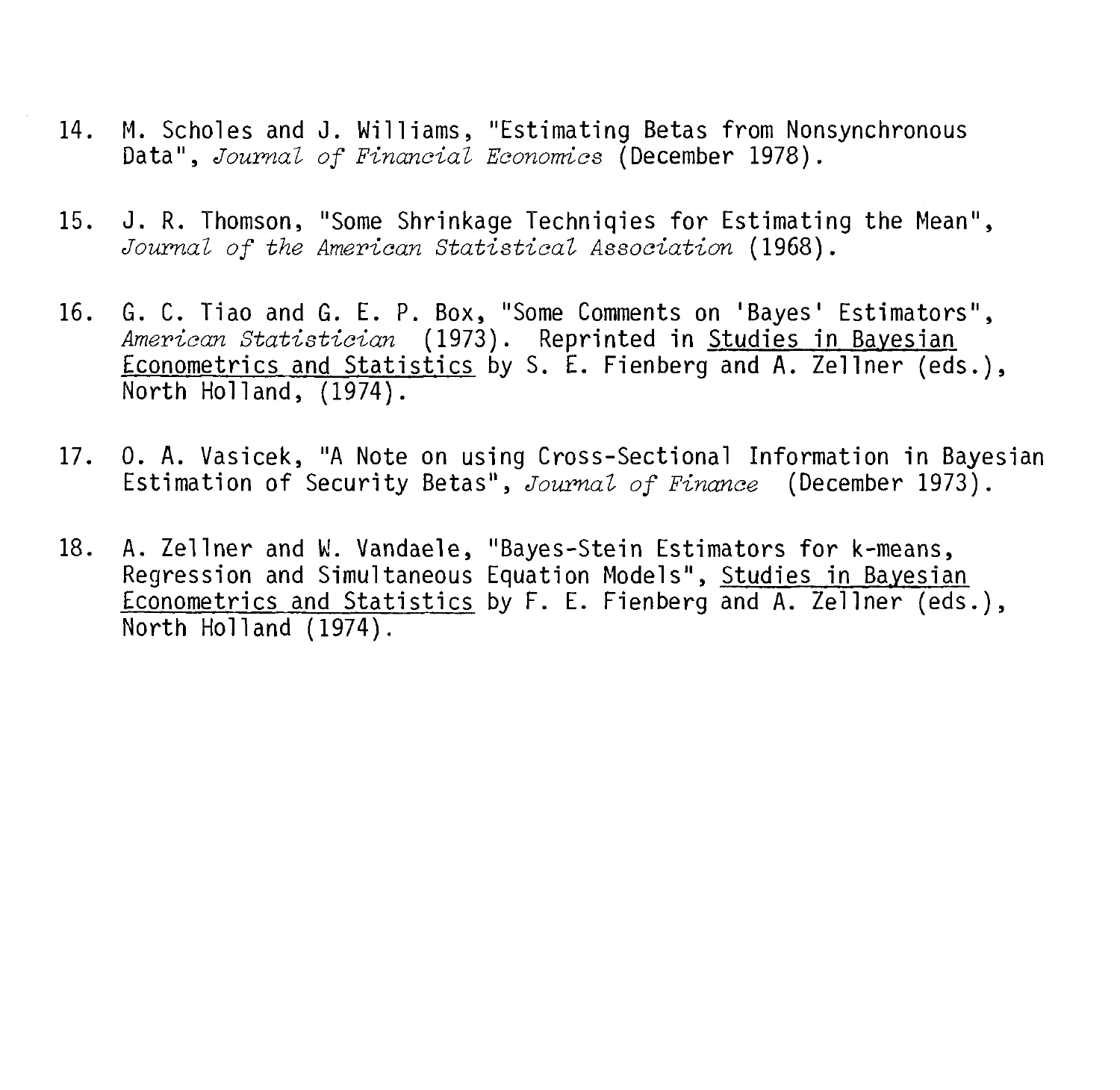- 14. M. Scholes and J. Williams, "Estimating Betas from Nonsynchronous Data", Journal of Financial Economics (December 1978).
- 15. J. R. Thomson, "Some Shrinkage Techniqies for Estimating the Mean", Journal of the American Statistical Association (1968).
- 16. G. C. Tiao and G. E. P. Box, "Some Comments on 'Bayes' Estimators", American Statistician (1973). Reprinted in Studies in Bayesian Econometrics and Statistics by S. E. Fienberg and A. Zellner (eds.), North Holland, (1974).
- 17. 0. A. Vasicek, "A Note on using Cross-Sectional Information in Bayesian Estimation of Security Betas", Journal of Finance (December 1973).
- 18. A. Zellner and W. Vandaele, "Bayes-Stein Estimators for k-means, Regression and Simultaneous Equation Models", Studies in Bayesian Econometrics and Statistics by F. E. Fienberg and A. Zellner (eds.), North Holland (1974).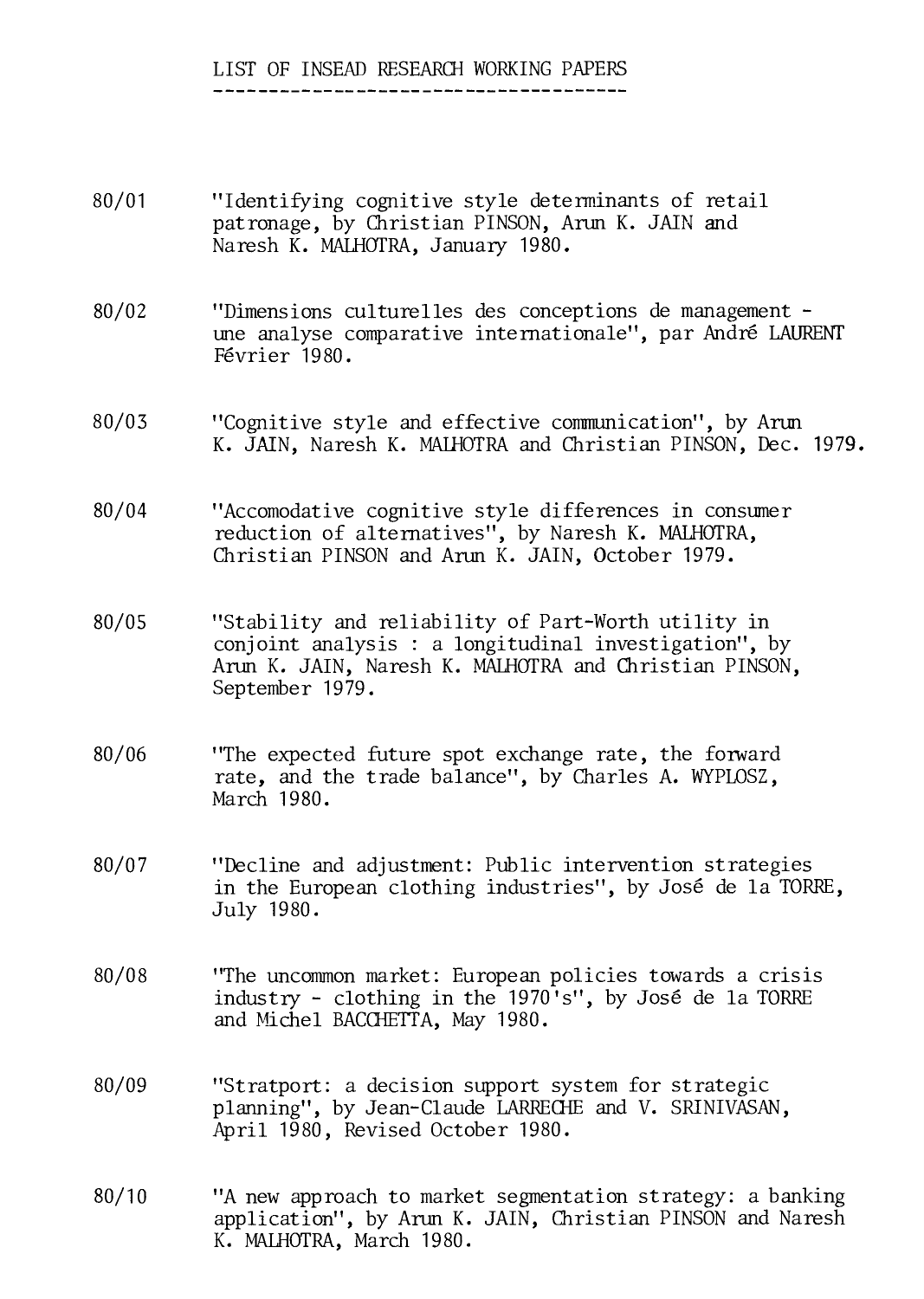#### LIST OF INSEAD RESEARCH WORKING PAPERS

- 80/01 "Identifying cognitive style determinants of retail patronage, by Christian PINSON, Arun K. JAIN and Naresh K. MALHOTRA, January 1980.
- 80/02 "Dimensions culturelles des conceptions de management une analyse comparative internationale", par André LAURENT Février 1980.
- 80/03 "Cognitive style and effective communication", by Arun K. JAIN, Naresh K. MAIHOTRA and Christian PINSON, Dec. 1979.
- 80/04 "Accomodative cognitive style differences in consumer reduction of alternatives", by Naresh K. MALHOTRA, Christian PINSON and Arun K. JAIN, October 1979.
- 80/05 "Stability and reliability of Part-Worth utility in conjoint analysis : a longitudinal investigation", by Arun K. JAIN, Naresh K. MALHOTRA and Christian PINSON, September 1979.
- 80/06 "The expected future spot exchange rate, the forward rate, and the trade balance", by Charles A. WYPLOSZ, March 1980.
- 80/07 "Decline and adjustment: Public intervention strategies in the European clothing industries", by José de la TORRE, July 1980.
- 80/08 "The uncommon market: European policies towards a crisis industry - clothing in the 1970's", by José de la TORRE and Michel BACCUETTA, May 1980.
- 80/09 "Stratport: a decision support system for strategic planning", by Jean-Claude LARRECHE and V. SRINIVASAN, April 1980, Revised October 1980.
- 80/10 "A new approach to market segmentation strategy: a banking application", by Arun K. JAIN, Christian PINSON and Naresh K. MALHOTRA, March 1980.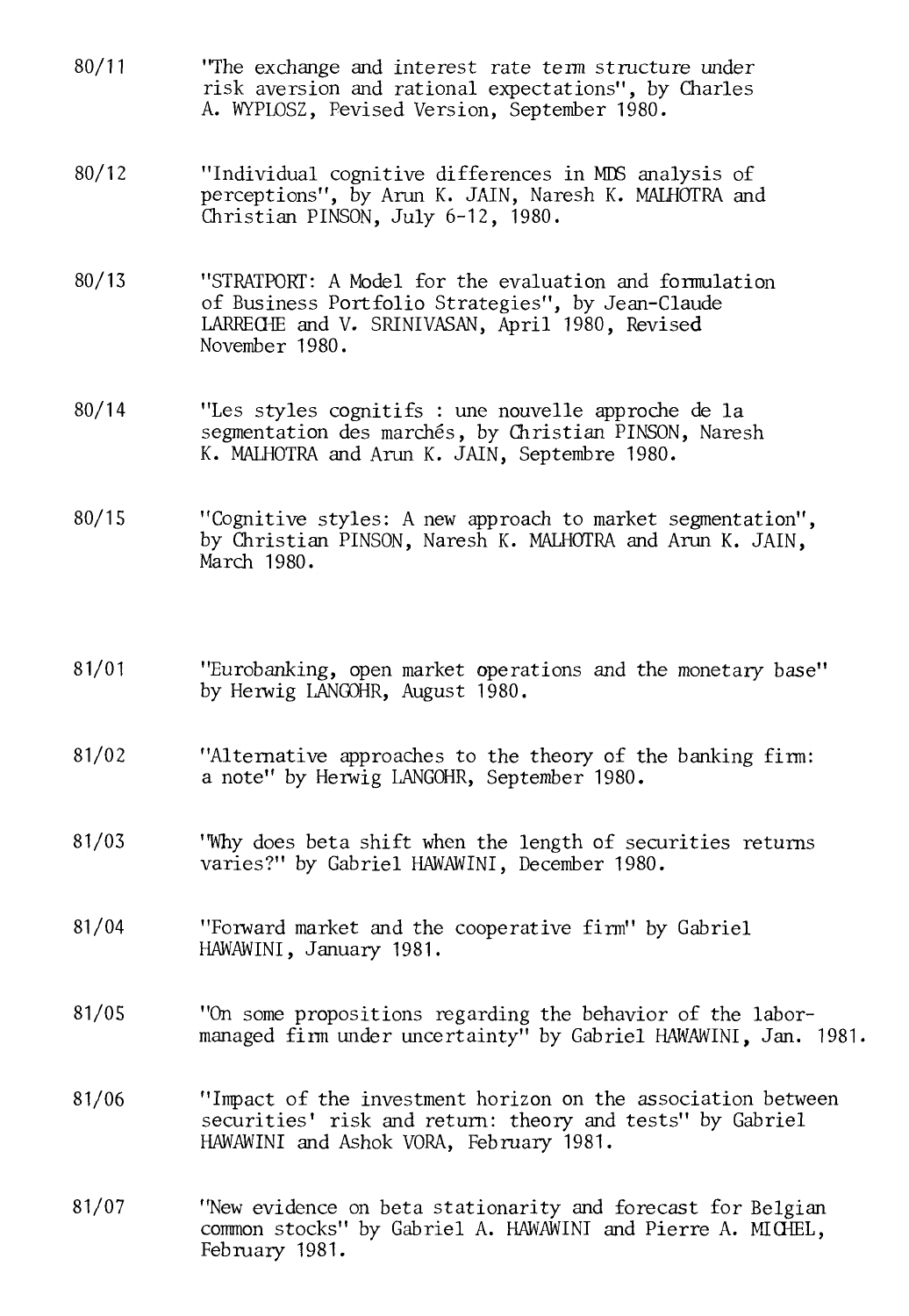- 80/11 "The exchange and interest rate term structure under risk aversion and rational expectations", by Charles A. WYPLOSZ, Pevised Version, September 1980.
- 80/12 "Individual cognitive differences in MEG analysis of perceptions", by Arun K. JAIN, Naresh K. MALHOTRA and Christian PINSON, July 6-12, 1980.
- 80/13 "STRATPORT: A Model for the evaluation and formulation of Business Portfolio Strategies", by Jean-Claude LARRECHE and V. SRINIVASAN, April 1980, Revised November 1980.
- 80/14 "Les styles cognitifs : une nouvelle approche de la segmentation des marchés, by Christian PINSON, Naresh K. MALHOTRA and Arun K. JAIN, Septembre 1980.
- 80/15 "Cognitive styles: A new approach to market segmentation", by Christian PINSON, Naresh K. MALHOTRA and Arun K. JAIN, March 1980.
- 81/01 "Eurobanking, open market operations and the monetary base" by Herwig LANGOHR, August 1980.
- 81/02 "Alternative approaches to the theory of the banking firm: a note" by Herwig LANGOHR, September 1980.
- 81/03 "Why does beta shift when the length of securities returns varies?" by Gabriel HAWAWINI, December 1980.
- 81/04 "Forward market and the cooperative firm" by Gabriel HAWAWINI, January 1981.
- 81/05 "On some propositions regarding the behavior of the labormanaged firm under uncertainty" by Gabriel HAWAWINI, Jan. 1981.
- 81/06 "Impact of the investment horizon on the association between securities' risk and return: theory and tests" by Gabriel HAWAWINI and Ashok VORA, February 1981.
- 81/07 "New evidence on beta stationarity and forecast for Belgian common stocks" by Gabriel A. HAWAWINI and Pierre A. MICHEL, February 1981.